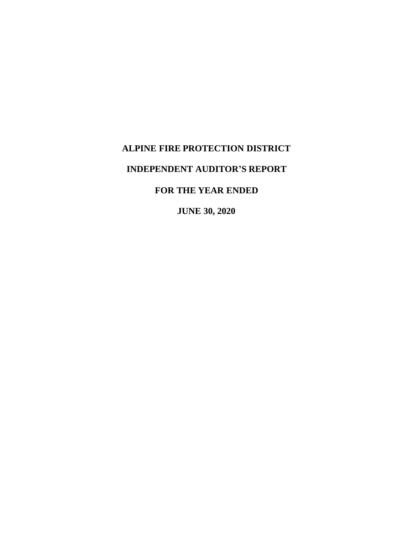# **ALPINE FIRE PROTECTION DISTRICT**

# **INDEPENDENT AUDITOR'S REPORT**

# **FOR THE YEAR ENDED**

**JUNE 30, 2020**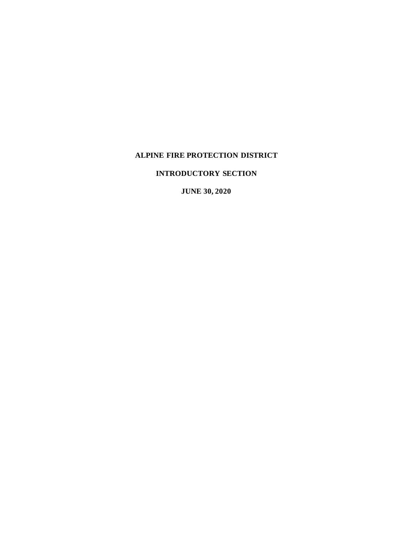# **ALPINE FIRE PROTECTION DISTRICT**

**INTRODUCTORY SECTION**

**JUNE 30, 2020**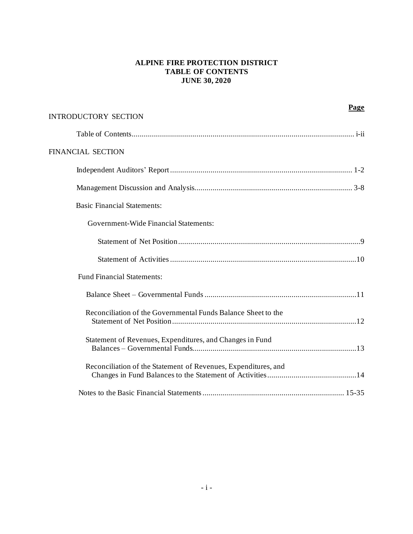# **ALPINE FIRE PROTECTION DISTRICT TABLE OF CONTENTS JUNE 30, 2020**

| <b>INTRODUCTORY SECTION</b>                                    | Page |
|----------------------------------------------------------------|------|
|                                                                |      |
| <b>FINANCIAL SECTION</b>                                       |      |
|                                                                |      |
|                                                                |      |
| <b>Basic Financial Statements:</b>                             |      |
| Government-Wide Financial Statements:                          |      |
|                                                                |      |
|                                                                |      |
| <b>Fund Financial Statements:</b>                              |      |
|                                                                |      |
| Reconciliation of the Governmental Funds Balance Sheet to the  |      |
| Statement of Revenues, Expenditures, and Changes in Fund       |      |
| Reconciliation of the Statement of Revenues, Expenditures, and |      |
|                                                                |      |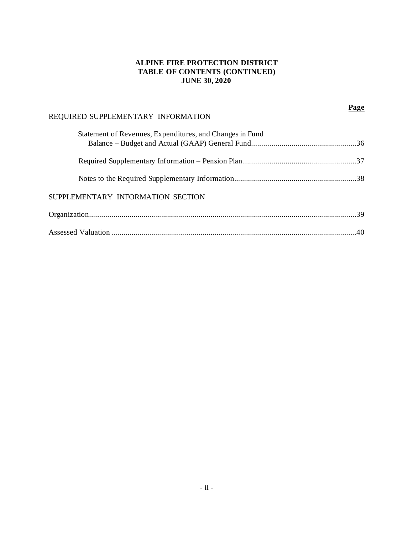# **ALPINE FIRE PROTECTION DISTRICT TABLE OF CONTENTS (CONTINUED) JUNE 30, 2020**

**Page**

| REQUIRED SUPPLEMENTARY INFORMATION                       |  |
|----------------------------------------------------------|--|
| Statement of Revenues, Expenditures, and Changes in Fund |  |
|                                                          |  |
|                                                          |  |
| SUPPLEMENTARY INFORMATION SECTION                        |  |
|                                                          |  |
|                                                          |  |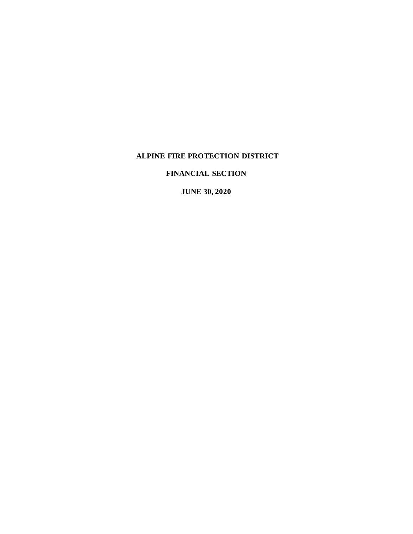# **ALPINE FIRE PROTECTION DISTRICT**

#### **FINANCIAL SECTION**

**JUNE 30, 2020**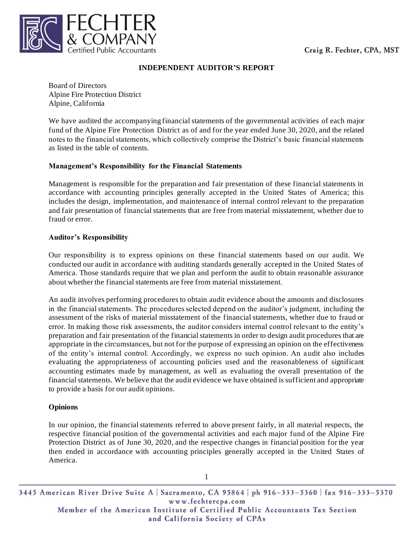

# **INDEPENDENT AUDITOR'S REPORT**

Board of Directors Alpine Fire Protection District Alpine, California

We have audited the accompanying financial statements of the governmental activities of each major fund of the Alpine Fire Protection District as of and for the year ended June 30, 2020, and the related notes to the financial statements, which collectively comprise the District's basic financial statements as listed in the table of contents.

# **Management's Responsibility for the Financial Statements**

Management is responsible for the preparation and fair presentation of these financial statements in accordance with accounting principles generally accepted in the United States of America; this includes the design, implementation, and maintenance of internal control relevant to the preparation and fair presentation of financial statements that are free from material misstatement, whether due to fraud or error.

# **Auditor's Responsibility**

Our responsibility is to express opinions on these financial statements based on our audit. We conducted our audit in accordance with auditing standards generally accepted in the United States of America. Those standards require that we plan and perform the audit to obtain reasonable assurance about whether the financial statements are free from material misstatement.

An audit involves performing procedures to obtain audit evidence about the amounts and disclosures in the financial statements. The procedures selected depend on the auditor's judgment, including the assessment of the risks of material misstatement of the financial statements, whether due to fraud or error. In making those risk assessments, the auditor considers internal control relevant to the entity's preparation and fair presentation of the financial statements in order to design audit procedures that are appropriate in the circumstances, but not for the purpose of expressing an opinion on the effectiveness of the entity's internal control. Accordingly, we express no such opinion. An audit also includes evaluating the appropriateness of accounting policies used and the reasonableness of significant accounting estimates made by management, as well as evaluating the overall presentation of the financial statements. We believe that the audit evidence we have obtained is sufficient and appropriate to provide a basis for our audit opinions.

# **Opinions**

In our opinion, the financial statements referred to above present fairly, in all material respects, the respective financial position of the governmental activities and each major fund of the Alpine Fire Protection District as of June 30, 2020, and the respective changes in financial position for the year then ended in accordance with accounting principles generally accepted in the United States of America.

3445 American River Drive Suite A | Sacramento, CA 95864 | ph 916-333-5360 | fax 916-333-5370 www.fechtercpa.com Member of the American Institute of Certified Public Accountants Tax Section and California Society of CPAs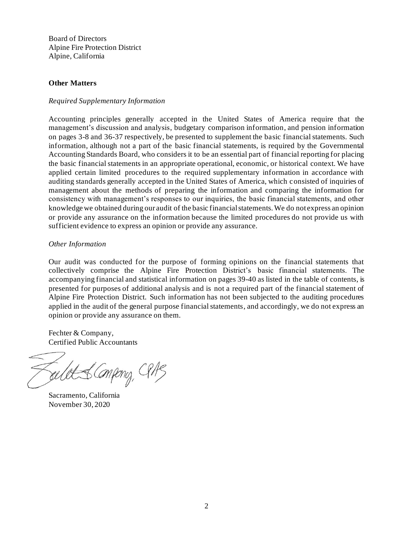Board of Directors Alpine Fire Protection District Alpine, California

#### **Other Matters**

#### *Required Supplementary Information*

Accounting principles generally accepted in the United States of America require that the management's discussion and analysis, budgetary comparison information, and pension information on pages 3-8 and 36-37 respectively, be presented to supplement the basic financial statements. Such information, although not a part of the basic financial statements, is required by the Governmental Accounting Standards Board, who considers it to be an essential part of financial reporting for placing the basic financial statements in an appropriate operational, economic, or historical context. We have applied certain limited procedures to the required supplementary information in accordance with auditing standards generally accepted in the United States of America, which consisted of inquiries of management about the methods of preparing the information and comparing the information for consistency with management's responses to our inquiries, the basic financial statements, and other knowledge we obtained during our audit of the basic financial statements. We do not express an opinion or provide any assurance on the information because the limited procedures do not provide us with sufficient evidence to express an opinion or provide any assurance.

#### *Other Information*

Our audit was conducted for the purpose of forming opinions on the financial statements that collectively comprise the Alpine Fire Protection District's basic financial statements. The accompanying financial and statistical information on pages 39-40 as listed in the table of contents, is presented for purposes of additional analysis and is not a required part of the financial statement of Alpine Fire Protection District. Such information has not been subjected to the auditing procedures applied in the audit of the general purpose financial statements, and accordingly, we do not express an opinion or provide any assurance on them.

Fechter & Company, Certified Public Accountants

& Compony, CPAS

Sacramento, California November 30, 2020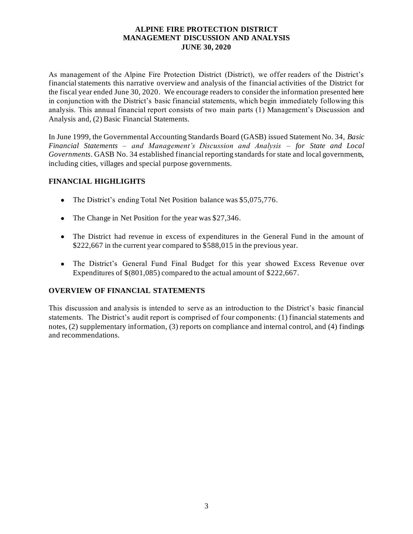As management of the Alpine Fire Protection District (District), we offer readers of the District's financial statements this narrative overview and analysis of the financial activities of the District for the fiscal year ended June 30, 2020. We encourage readers to consider the information presented here in conjunction with the District's basic financial statements, which begin immediately following this analysis. This annual financial report consists of two main parts (1) Management's Discussion and Analysis and, (2) Basic Financial Statements.

In June 1999, the Governmental Accounting Standards Board (GASB) issued Statement No. 34, *Basic Financial Statements – and Management's Discussion and Analysis – for State and Local Governments*. GASB No. 34 established financial reporting standards for state and local governments, including cities, villages and special purpose governments.

# **FINANCIAL HIGHLIGHTS**

- The District's ending Total Net Position balance was \$5,075,776.
- The Change in Net Position for the year was \$27,346.
- The District had revenue in excess of expenditures in the General Fund in the amount of \$222,667 in the current year compared to \$588,015 in the previous year.
- The District's General Fund Final Budget for this year showed Excess Revenue over Expenditures of \$(801,085) compared to the actual amount of \$222,667.

# **OVERVIEW OF FINANCIAL STATEMENTS**

This discussion and analysis is intended to serve as an introduction to the District's basic financial statements. The District's audit report is comprised of four components: (1) financial statements and notes, (2) supplementary information, (3) reports on compliance and internal control, and (4) findings and recommendations.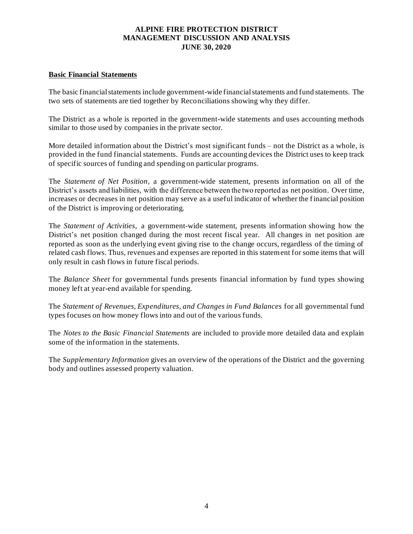## **Basic Financial Statements**

The basic financial statements include government-wide financial statements and fund statements. The two sets of statements are tied together by Reconciliations showing why they differ.

The District as a whole is reported in the government-wide statements and uses accounting methods similar to those used by companies in the private sector.

More detailed information about the District's most significant funds – not the District as a whole, is provided in the fund financial statements. Funds are accounting devices the District uses to keep track of specific sources of funding and spending on particular programs.

The *Statement of Net Position*, a government-wide statement, presents information on all of the District's assets and liabilities, with the difference between the two reported as net position. Over time, increases or decreases in net position may serve as a useful indicator of whether the financial position of the District is improving or deteriorating.

The *Statement of Activities*, a government-wide statement, presents information showing how the District's net position changed during the most recent fiscal year. All changes in net position are reported as soon as the underlying event giving rise to the change occurs, regardless of the timing of related cash flows. Thus, revenues and expenses are reported in this statement for some items that will only result in cash flows in future fiscal periods.

The *Balance Sheet* for governmental funds presents financial information by fund types showing money left at year-end available for spending.

The *Statement of Revenues, Expenditures, and Changes in Fund Balances* for all governmental fund types focuses on how money flows into and out of the various funds.

The *Notes to the Basic Financial Statements* are included to provide more detailed data and explain some of the information in the statements.

The *Supplementary Information* gives an overview of the operations of the District and the governing body and outlines assessed property valuation.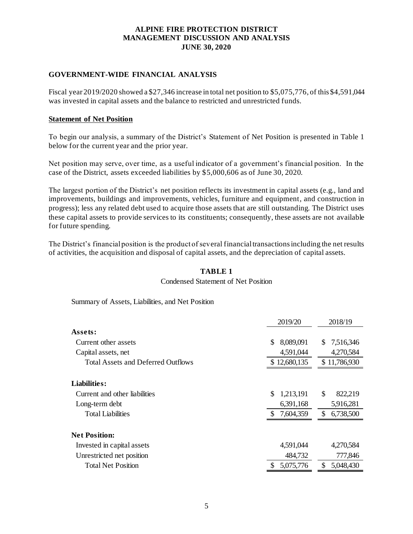# **GOVERNMENT-WIDE FINANCIAL ANALYSIS**

Fiscal year 2019/2020 showed a \$27,346 increase in total net position to \$5,075,776, of this \$4,591,044 was invested in capital assets and the balance to restricted and unrestricted funds.

#### **Statement of Net Position**

To begin our analysis, a summary of the District's Statement of Net Position is presented in Table 1 below for the current year and the prior year.

Net position may serve, over time, as a useful indicator of a government's financial position. In the case of the District, assets exceeded liabilities by \$5,000,606 as of June 30, 2020.

The largest portion of the District's net position reflects its investment in capital assets (e.g., land and improvements, buildings and improvements, vehicles, furniture and equipment, and construction in progress); less any related debt used to acquire those assets that are still outstanding. The District uses these capital assets to provide services to its constituents; consequently, these assets are not available for future spending.

The District's financial position is the product of several financial transactions including the net results of activities, the acquisition and disposal of capital assets, and the depreciation of capital assets.

#### **TABLE 1**

#### Condensed Statement of Net Position

Summary of Assets, Liabilities, and Net Position

|                                    | 2019/20         | 2018/19         |
|------------------------------------|-----------------|-----------------|
| Assets:                            |                 |                 |
| Current other assets               | \$<br>8,089,091 | \$<br>7,516,346 |
| Capital assets, net                | 4,591,044       | 4,270,584       |
| Total Assets and Deferred Outflows | \$12,680,135    | \$11,786,930    |
| Liabilities:                       |                 |                 |
| Current and other liabilities      | \$<br>1,213,191 | \$<br>822,219   |
| Long-term debt                     | 6,391,168       | 5,916,281       |
| <b>Total Liabilities</b>           | \$<br>7,604,359 | \$<br>6,738,500 |
| <b>Net Position:</b>               |                 |                 |
| Invested in capital assets         | 4,591,044       | 4,270,584       |
| Unrestricted net position          | 484,732         | 777,846         |
| <b>Total Net Position</b>          | 5,075,776       | \$<br>5,048,430 |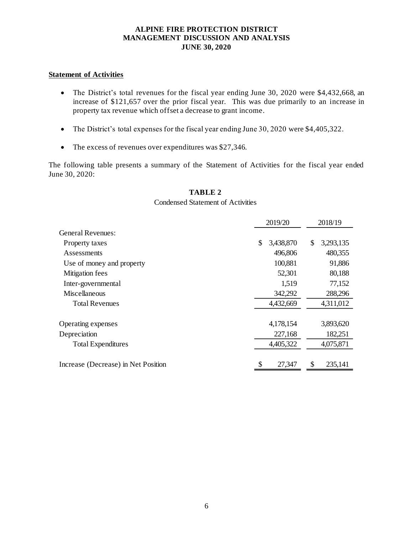## **Statement of Activities**

- The District's total revenues for the fiscal year ending June 30, 2020 were \$4,432,668, an increase of \$121,657 over the prior fiscal year. This was due primarily to an increase in property tax revenue which offset a decrease to grant income.
- The District's total expenses for the fiscal year ending June 30, 2020 were \$4,405,322.
- The excess of revenues over expenditures was \$27,346.

The following table presents a summary of the Statement of Activities for the fiscal year ended June 30, 2020:

#### **TABLE 2**

#### Condensed Statement of Activities

|                                     | 2019/20         | 2018/19         |  |  |
|-------------------------------------|-----------------|-----------------|--|--|
| <b>General Revenues:</b>            |                 |                 |  |  |
| Property taxes                      | 3,438,870<br>\$ | \$<br>3,293,135 |  |  |
| Assessments                         | 496,806         | 480,355         |  |  |
| Use of money and property           | 100,881         | 91,886          |  |  |
| Mitigation fees                     | 52,301          | 80,188          |  |  |
| Inter-governmental                  | 1,519           | 77,152          |  |  |
| Miscellaneous                       | 342,292         | 288,296         |  |  |
| <b>Total Revenues</b>               | 4,432,669       | 4,311,012       |  |  |
| Operating expenses                  | 4,178,154       | 3,893,620       |  |  |
| Depreciation                        | 227,168         | 182,251         |  |  |
| <b>Total Expenditures</b>           | 4,405,322       | 4,075,871       |  |  |
| Increase (Decrease) in Net Position | \$<br>27,347    | \$<br>235,141   |  |  |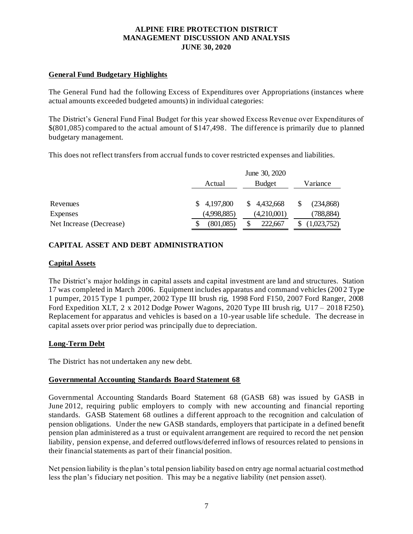# **General Fund Budgetary Highlights**

The General Fund had the following Excess of Expenditures over Appropriations (instances where actual amounts exceeded budgeted amounts) in individual categories:

The District's General Fund Final Budget for this year showed Excess Revenue over Expenditures of \$(801,085) compared to the actual amount of \$147,498. The difference is primarily due to planned budgetary management.

This does not reflect transfers from accrual funds to cover restricted expenses and liabilities.

|                         | June 30, 2020 |                           |             |
|-------------------------|---------------|---------------------------|-------------|
|                         | Actual        | <b>Budget</b><br>Variance |             |
| Revenues                | 4,197,800     | 4,432,668<br>S.           | (234,868)   |
| Expenses                | (4,998,885)   | (4,210,001)               | (788,884)   |
| Net Increase (Decrease) | (801,085)     | 222,667                   | (1,023,752) |

# **CAPITAL ASSET AND DEBT ADMINISTRATION**

## **Capital Assets**

The District's major holdings in capital assets and capital investment are land and structures. Station 17 was completed in March 2006. Equipment includes apparatus and command vehicles (200 2 Type 1 pumper, 2015 Type 1 pumper, 2002 Type III brush rig, 1998 Ford F150, 2007 Ford Ranger, 2008 Ford Expedition XLT, 2 x 2012 Dodge Power Wagons, 2020 Type III brush rig, U17 – 2018 F250). Replacement for apparatus and vehicles is based on a 10-year usable life schedule. The decrease in capital assets over prior period was principally due to depreciation.

#### **Long-Term Debt**

The District has not undertaken any new debt.

#### **Governmental Accounting Standards Board Statement 68**

Governmental Accounting Standards Board Statement 68 (GASB 68) was issued by GASB in June 2012, requiring public employers to comply with new accounting and financial reporting standards. GASB Statement 68 outlines a different approach to the recognition and calculation of pension obligations. Under the new GASB standards, employers that participate in a defined benefit pension plan administered as a trust or equivalent arrangement are required to record the net pension liability, pension expense, and deferred outflows/deferred inflows of resources related to pensions in their financial statements as part of their financial position.

Net pension liability is the plan's total pension liability based on entry age normal actuarial cost method less the plan's fiduciary net position. This may be a negative liability (net pension asset).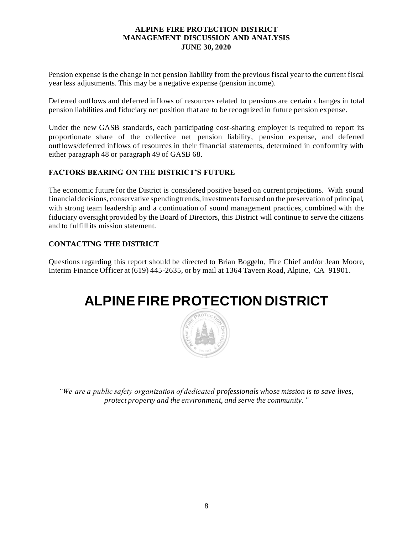Pension expense is the change in net pension liability from the previous fiscal year to the current fiscal year less adjustments. This may be a negative expense (pension income).

Deferred outflows and deferred inflows of resources related to pensions are certain c hanges in total pension liabilities and fiduciary net position that are to be recognized in future pension expense.

Under the new GASB standards, each participating cost-sharing employer is required to report its proportionate share of the collective net pension liability, pension expense, and deferred outflows/deferred inflows of resources in their financial statements, determined in conformity with either paragraph 48 or paragraph 49 of GASB 68.

# **FACTORS BEARING ON THE DISTRICT'S FUTURE**

The economic future for the District is considered positive based on current projections. With sound financial decisions, conservative spending trends, investments focused on the preservation of principal, with strong team leadership and a continuation of sound management practices, combined with the fiduciary oversight provided by the Board of Directors, this District will continue to serve the citizens and to fulfill its mission statement.

# **CONTACTING THE DISTRICT**

Questions regarding this report should be directed to Brian Boggeln, Fire Chief and/or Jean Moore, Interim Finance Officer at (619) 445-2635, or by mail at 1364 Tavern Road, Alpine, CA 91901.

# **ALPINE FIRE PROTECTION DISTRICT**



*"We are a public safety organization of dedicated professionals whose mission is to save lives, protect property and the environment, and serve the community."*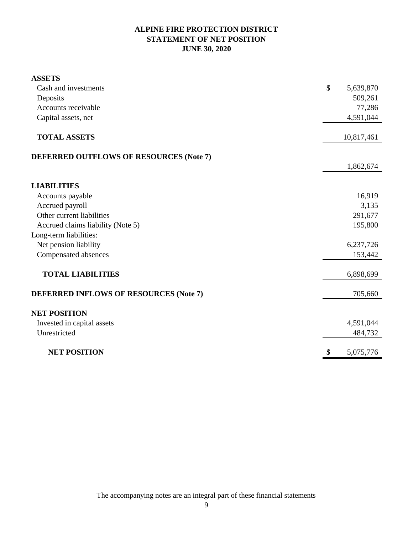# **ALPINE FIRE PROTECTION DISTRICT STATEMENT OF NET POSITION JUNE 30, 2020**

| <b>ASSETS</b>                                  |               |            |
|------------------------------------------------|---------------|------------|
| Cash and investments                           | $\mathcal{S}$ | 5,639,870  |
| Deposits                                       |               | 509,261    |
| Accounts receivable                            |               | 77,286     |
| Capital assets, net                            |               | 4,591,044  |
| <b>TOTAL ASSETS</b>                            |               | 10,817,461 |
| <b>DEFERRED OUTFLOWS OF RESOURCES (Note 7)</b> |               |            |
|                                                |               | 1,862,674  |
| <b>LIABILITIES</b>                             |               |            |
| Accounts payable                               |               | 16,919     |
| Accrued payroll                                |               | 3,135      |
| Other current liabilities                      |               | 291,677    |
| Accrued claims liability (Note 5)              |               | 195,800    |
| Long-term liabilities:                         |               |            |
| Net pension liability                          |               | 6,237,726  |
| Compensated absences                           |               | 153,442    |
| <b>TOTAL LIABILITIES</b>                       |               | 6,898,699  |
| DEFERRED INFLOWS OF RESOURCES (Note 7)         |               | 705,660    |
| <b>NET POSITION</b>                            |               |            |
| Invested in capital assets                     |               | 4,591,044  |
| Unrestricted                                   |               | 484,732    |
| <b>NET POSITION</b>                            | \$            | 5,075,776  |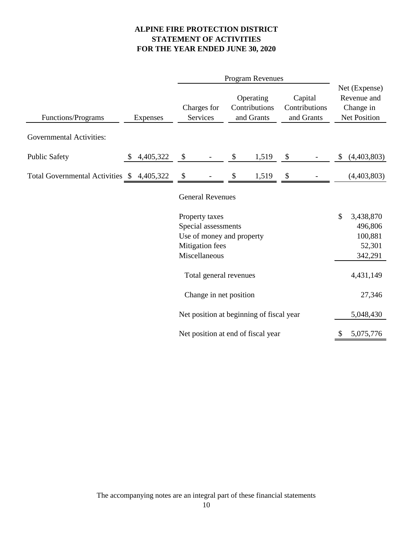# **ALPINE FIRE PROTECTION DISTRICT STATEMENT OF ACTIVITIES FOR THE YEAR ENDED JUNE 30, 2020**

|                                           |                 |                           |                                                  |    | Program Revenues                         |            |                                        |    |                                                                  |
|-------------------------------------------|-----------------|---------------------------|--------------------------------------------------|----|------------------------------------------|------------|----------------------------------------|----|------------------------------------------------------------------|
| Functions/Programs                        | <b>Expenses</b> |                           | Charges for<br>Services                          |    | Operating<br>Contributions<br>and Grants |            | Capital<br>Contributions<br>and Grants |    | Net (Expense)<br>Revenue and<br>Change in<br><b>Net Position</b> |
| <b>Governmental Activities:</b>           |                 |                           |                                                  |    |                                          |            |                                        |    |                                                                  |
| <b>Public Safety</b>                      | 4,405,322<br>\$ | $\boldsymbol{\mathsf{S}}$ |                                                  | \$ | 1,519                                    | $\sqrt{3}$ |                                        | \$ | (4,403,803)                                                      |
| Total Governmental Activities \$4,405,322 |                 | \$                        |                                                  | S  | 1,519                                    | \$         |                                        |    | (4,403,803)                                                      |
|                                           |                 |                           | <b>General Revenues</b>                          |    |                                          |            |                                        |    |                                                                  |
|                                           |                 |                           | Property taxes                                   |    |                                          |            |                                        | \$ | 3,438,870                                                        |
|                                           |                 |                           | Special assessments<br>Use of money and property |    |                                          |            |                                        |    | 496,806<br>100,881                                               |
|                                           |                 |                           | Mitigation fees                                  |    |                                          |            |                                        |    | 52,301                                                           |
|                                           |                 |                           | Miscellaneous                                    |    |                                          |            |                                        |    | 342,291                                                          |
|                                           |                 |                           | Total general revenues                           |    |                                          |            |                                        |    | 4,431,149                                                        |
|                                           |                 |                           | Change in net position                           |    |                                          |            |                                        |    | 27,346                                                           |
|                                           |                 |                           |                                                  |    | Net position at beginning of fiscal year |            |                                        |    | 5,048,430                                                        |
|                                           |                 |                           |                                                  |    | Net position at end of fiscal year       |            |                                        | P  | 5,075,776                                                        |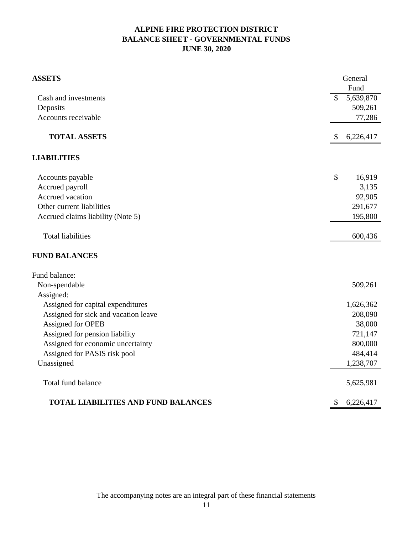# **ALPINE FIRE PROTECTION DISTRICT BALANCE SHEET - GOVERNMENTAL FUNDS JUNE 30, 2020**

| <b>ASSETS</b>                              | General                 |
|--------------------------------------------|-------------------------|
| Cash and investments                       | \$<br>Fund<br>5,639,870 |
| Deposits                                   | 509,261                 |
| Accounts receivable                        | 77,286                  |
|                                            |                         |
| <b>TOTAL ASSETS</b>                        | \$<br>6,226,417         |
| <b>LIABILITIES</b>                         |                         |
| Accounts payable                           | \$<br>16,919            |
| Accrued payroll                            | 3,135                   |
| Accrued vacation                           | 92,905                  |
| Other current liabilities                  | 291,677                 |
| Accrued claims liability (Note 5)          | 195,800                 |
| <b>Total liabilities</b>                   | 600,436                 |
| <b>FUND BALANCES</b>                       |                         |
| Fund balance:                              |                         |
| Non-spendable                              | 509,261                 |
| Assigned:                                  |                         |
| Assigned for capital expenditures          | 1,626,362               |
| Assigned for sick and vacation leave       | 208,090                 |
| Assigned for OPEB                          | 38,000                  |
| Assigned for pension liability             | 721,147                 |
| Assigned for economic uncertainty          | 800,000                 |
| Assigned for PASIS risk pool               | 484,414                 |
| Unassigned                                 | 1,238,707               |
| Total fund balance                         | 5,625,981               |
| <b>TOTAL LIABILITIES AND FUND BALANCES</b> | \$<br>6,226,417         |

The accompanying notes are an integral part of these financial statements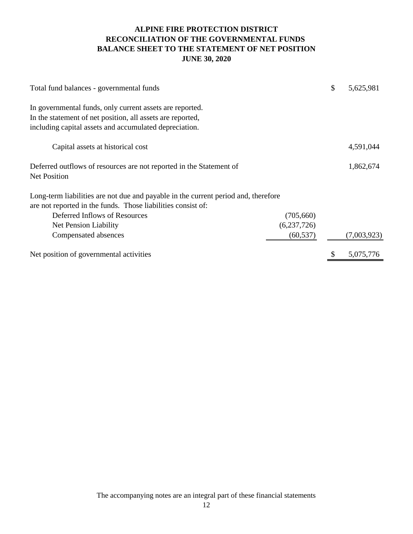# **ALPINE FIRE PROTECTION DISTRICT RECONCILIATION OF THE GOVERNMENTAL FUNDS BALANCE SHEET TO THE STATEMENT OF NET POSITION JUNE 30, 2020**

| Total fund balances - governmental funds                                                                                                                                                                     |                          | \$<br>5,625,981 |
|--------------------------------------------------------------------------------------------------------------------------------------------------------------------------------------------------------------|--------------------------|-----------------|
| In governmental funds, only current assets are reported.<br>In the statement of net position, all assets are reported,<br>including capital assets and accumulated depreciation.                             |                          |                 |
| Capital assets at historical cost                                                                                                                                                                            |                          | 4,591,044       |
| Deferred outflows of resources are not reported in the Statement of<br><b>Net Position</b>                                                                                                                   |                          | 1,862,674       |
| Long-term liabilities are not due and payable in the current period and, therefore<br>are not reported in the funds. Those liabilities consist of:<br>Deferred Inflows of Resources<br>Net Pension Liability | (705,660)<br>(6,237,726) |                 |
| Compensated absences                                                                                                                                                                                         | (60, 537)                | (7,003,923)     |
| Net position of governmental activities                                                                                                                                                                      |                          | 5,075,776       |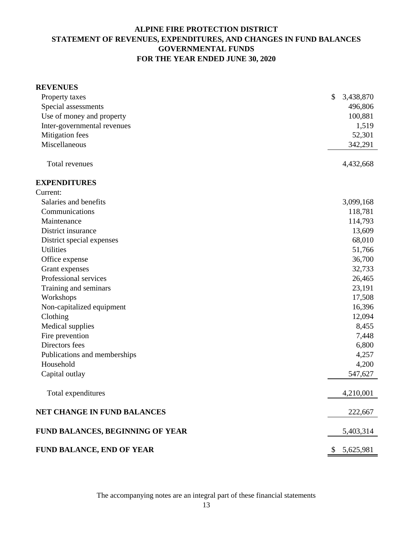# **ALPINE FIRE PROTECTION DISTRICT STATEMENT OF REVENUES, EXPENDITURES, AND CHANGES IN FUND BALANCES GOVERNMENTAL FUNDS FOR THE YEAR ENDED JUNE 30, 2020**

| <b>REVENUES</b>                    |                 |
|------------------------------------|-----------------|
| Property taxes                     | \$<br>3,438,870 |
| Special assessments                | 496,806         |
| Use of money and property          | 100,881         |
| Inter-governmental revenues        | 1,519           |
| Mitigation fees                    | 52,301          |
| Miscellaneous                      | 342,291         |
| Total revenues                     | 4,432,668       |
| <b>EXPENDITURES</b>                |                 |
| Current:                           |                 |
| Salaries and benefits              | 3,099,168       |
| Communications                     | 118,781         |
| Maintenance                        | 114,793         |
| District insurance                 | 13,609          |
| District special expenses          | 68,010          |
| <b>Utilities</b>                   | 51,766          |
| Office expense                     | 36,700          |
| Grant expenses                     | 32,733          |
| Professional services              | 26,465          |
| Training and seminars              | 23,191          |
| Workshops                          | 17,508          |
| Non-capitalized equipment          | 16,396          |
| Clothing                           | 12,094          |
| Medical supplies                   | 8,455           |
| Fire prevention                    | 7,448           |
| Directors fees                     | 6,800           |
| Publications and memberships       | 4,257           |
| Household                          | 4,200           |
| Capital outlay                     | 547,627         |
| Total expenditures                 | 4,210,001       |
| <b>NET CHANGE IN FUND BALANCES</b> | 222,667         |
| FUND BALANCES, BEGINNING OF YEAR   | 5,403,314       |
| <b>FUND BALANCE, END OF YEAR</b>   | \$<br>5,625,981 |

The accompanying notes are an integral part of these financial statements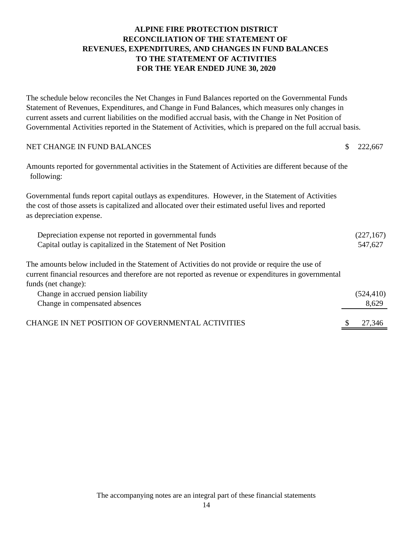# **ALPINE FIRE PROTECTION DISTRICT RECONCILIATION OF THE STATEMENT OF REVENUES, EXPENDITURES, AND CHANGES IN FUND BALANCES TO THE STATEMENT OF ACTIVITIES FOR THE YEAR ENDED JUNE 30, 2020**

The schedule below reconciles the Net Changes in Fund Balances reported on the Governmental Funds Statement of Revenues, Expenditures, and Change in Fund Balances, which measures only changes in current assets and current liabilities on the modified accrual basis, with the Change in Net Position of Governmental Activities reported in the Statement of Activities, which is prepared on the full accrual basis.

| NET CHANGE IN FUND BALANCES                                                                                                                                                                                                            | \$<br>222,667 |
|----------------------------------------------------------------------------------------------------------------------------------------------------------------------------------------------------------------------------------------|---------------|
| Amounts reported for governmental activities in the Statement of Activities are different because of the<br>following:                                                                                                                 |               |
| Governmental funds report capital outlays as expenditures. However, in the Statement of Activities<br>the cost of those assets is capitalized and allocated over their estimated useful lives and reported<br>as depreciation expense. |               |
| Depreciation expense not reported in governmental funds                                                                                                                                                                                | (227, 167)    |
| Capital outlay is capitalized in the Statement of Net Position                                                                                                                                                                         | 547,627       |
| The amounts below included in the Statement of Activities do not provide or require the use of<br>current financial resources and therefore are not reported as revenue or expenditures in governmental<br>funds (net change):         |               |
| Change in accrued pension liability                                                                                                                                                                                                    | (524, 410)    |
| Change in compensated absences                                                                                                                                                                                                         | 8,629         |
| CHANGE IN NET POSITION OF GOVERNMENTAL ACTIVITIES                                                                                                                                                                                      | 27,346        |

The accompanying notes are an integral part of these financial statements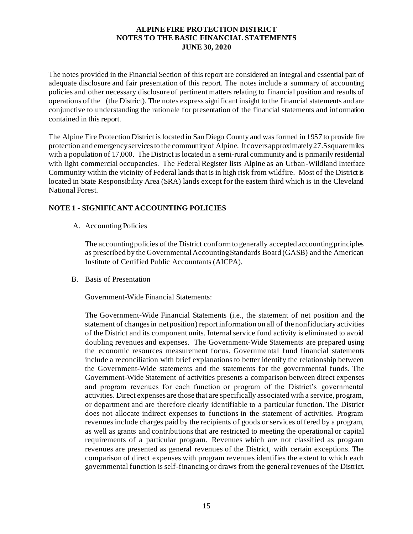The notes provided in the Financial Section of this report are considered an integral and essential part of adequate disclosure and fair presentation of this report. The notes include a summary of accounting policies and other necessary disclosure of pertinent matters relating to financial position and results of operations of the (the District). The notes express significant insight to the financial statements and are conjunctive to understanding the rationale for presentation of the financial statements and information contained in this report.

The Alpine Fire Protection District is located in San Diego County and was formed in 1957 to provide fire protection and emergency services to the community of Alpine. It covers approximately 27.5 square miles with a population of 17,000. The District is located in a semi-rural community and is primarily residential with light commercial occupancies. The Federal Register lists Alpine as an Urban-Wildland Interface Community within the vicinity of Federal lands that is in high risk from wildfire. Most of the District is located in State Responsibility Area (SRA) lands except for the eastern third which is in the Cleveland National Forest.

# **NOTE 1 - SIGNIFICANT ACCOUNTING POLICIES**

A. Accounting Policies

The accounting policies of the District conform to generally accepted accounting principles as prescribed by the Governmental Accounting Standards Board (GASB) and the American Institute of Certified Public Accountants (AICPA).

B. Basis of Presentation

Government-Wide Financial Statements:

The Government-Wide Financial Statements (i.e., the statement of net position and the statement of changes in net position) report information on all of the nonfiduciary activities of the District and its component units. Internal service fund activity is eliminated to avoid doubling revenues and expenses. The Government-Wide Statements are prepared using the economic resources measurement focus. Governmental fund financial statements include a reconciliation with brief explanations to better identify the relationship between the Government-Wide statements and the statements for the governmental funds. The Government-Wide Statement of activities presents a comparison between direct expenses and program revenues for each function or program of the District's governmental activities. Direct expenses are those that are specifically associated with a service, program, or department and are therefore clearly identifiable to a particular function. The District does not allocate indirect expenses to functions in the statement of activities. Program revenues include charges paid by the recipients of goods or services offered by a program, as well as grants and contributions that are restricted to meeting the operational or capital requirements of a particular program. Revenues which are not classified as program revenues are presented as general revenues of the District, with certain exceptions. The comparison of direct expenses with program revenues identifies the extent to which each governmental function is self-financing or draws from the general revenues of the District.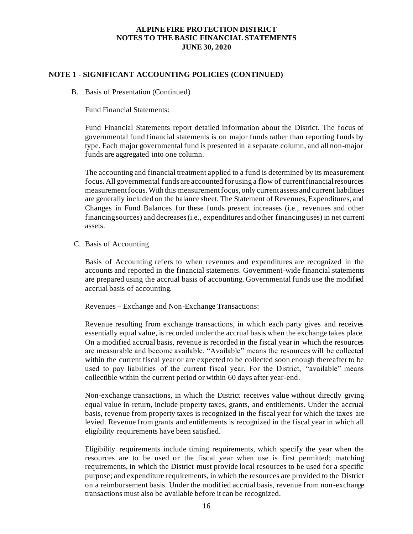# **NOTE 1 - SIGNIFICANT ACCOUNTING POLICIES (CONTINUED)**

#### B. Basis of Presentation (Continued)

#### Fund Financial Statements:

Fund Financial Statements report detailed information about the District. The focus of governmental fund financial statements is on major funds rather than reporting funds by type. Each major governmental fund is presented in a separate column, and all non-major funds are aggregated into one column.

The accounting and financial treatment applied to a fund is determined by its measurement focus. All governmental funds are accounted for using a flow of current financial resources measurement focus. With this measurement focus, only current assets and current liabilities are generally included on the balance sheet. The Statement of Revenues, Expenditures, and Changes in Fund Balances for these funds present increases (i.e., revenues and other financing sources) and decreases (i.e., expenditures and other financing uses) in net current assets.

#### C. Basis of Accounting

Basis of Accounting refers to when revenues and expenditures are recognized in the accounts and reported in the financial statements. Government-wide financial statements are prepared using the accrual basis of accounting. Governmental funds use the modified accrual basis of accounting.

Revenues – Exchange and Non-Exchange Transactions:

Revenue resulting from exchange transactions, in which each party gives and receives essentially equal value, is recorded under the accrual basis when the exchange takes place. On a modified accrual basis, revenue is recorded in the fiscal year in which the resources are measurable and become available. "Available" means the resources will be collected within the current fiscal year or are expected to be collected soon enough thereafter to be used to pay liabilities of the current fiscal year. For the District, "available" means collectible within the current period or within 60 days after year-end.

Non-exchange transactions, in which the District receives value without directly giving equal value in return, include property taxes, grants, and entitlements. Under the accrual basis, revenue from property taxes is recognized in the fiscal year for which the taxes are levied. Revenue from grants and entitlements is recognized in the fiscal year in which all eligibility requirements have been satisfied.

Eligibility requirements include timing requirements, which specify the year when the resources are to be used or the fiscal year when use is first permitted; matching requirements, in which the District must provide local resources to be used for a specific purpose; and expenditure requirements, in which the resources are provided to the District on a reimbursement basis. Under the modified accrual basis, revenue from non-exchange transactions must also be available before it can be recognized.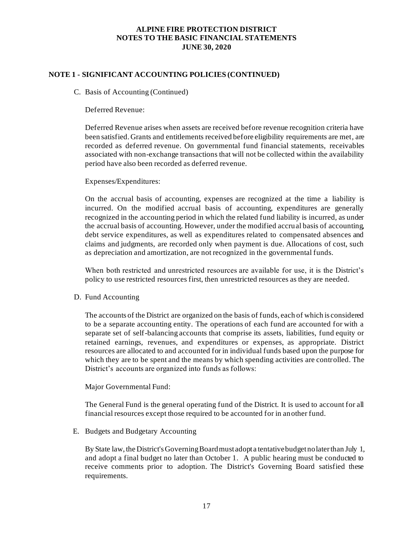# **NOTE 1 - SIGNIFICANT ACCOUNTING POLICIES (CONTINUED)**

#### C. Basis of Accounting (Continued)

Deferred Revenue:

Deferred Revenue arises when assets are received before revenue recognition criteria have been satisfied. Grants and entitlements received before eligibility requirements are met, are recorded as deferred revenue. On governmental fund financial statements, receivables associated with non-exchange transactions that will not be collected within the availability period have also been recorded as deferred revenue.

#### Expenses/Expenditures:

On the accrual basis of accounting, expenses are recognized at the time a liability is incurred. On the modified accrual basis of accounting, expenditures are generally recognized in the accounting period in which the related fund liability is incurred, as under the accrual basis of accounting. However, under the modified accrual basis of accounting, debt service expenditures, as well as expenditures related to compensated absences and claims and judgments, are recorded only when payment is due. Allocations of cost, such as depreciation and amortization, are not recognized in the governmental funds.

When both restricted and unrestricted resources are available for use, it is the District's policy to use restricted resources first, then unrestricted resources as they are needed.

#### D. Fund Accounting

The accounts of the District are organized on the basis of funds, each of which is considered to be a separate accounting entity. The operations of each fund are accounted for with a separate set of self-balancing accounts that comprise its assets, liabilities, fund equity or retained earnings, revenues, and expenditures or expenses, as appropriate. District resources are allocated to and accounted for in individual funds based upon the purpose for which they are to be spent and the means by which spending activities are controlled. The District's accounts are organized into funds as follows:

#### Major Governmental Fund:

The General Fund is the general operating fund of the District. It is used to account for all financial resources except those required to be accounted for in another fund.

#### E. Budgets and Budgetary Accounting

 By State law, the District's Governing Board must adopt a tentative budget no later than July 1, and adopt a final budget no later than October 1. A public hearing must be conducted to receive comments prior to adoption. The District's Governing Board satisfied these requirements.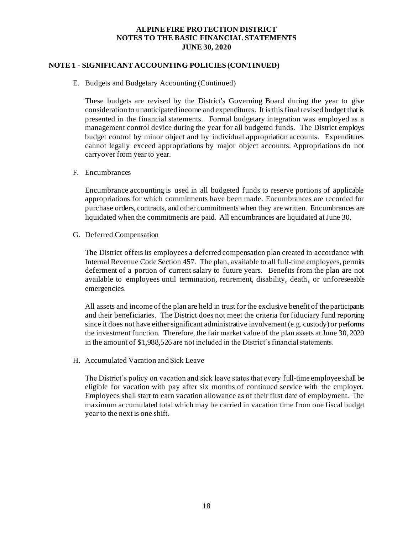#### **NOTE 1 - SIGNIFICANT ACCOUNTING POLICIES (CONTINUED)**

E. Budgets and Budgetary Accounting (Continued)

These budgets are revised by the District's Governing Board during the year to give consideration to unanticipated income and expenditures. It is this final revised budget that is presented in the financial statements. Formal budgetary integration was employed as a management control device during the year for all budgeted funds. The District employs budget control by minor object and by individual appropriation accounts. Expenditures cannot legally exceed appropriations by major object accounts. Appropriations do not carryover from year to year.

#### F. Encumbrances

Encumbrance accounting is used in all budgeted funds to reserve portions of applicable appropriations for which commitments have been made. Encumbrances are recorded for purchase orders, contracts, and other commitments when they are written. Encumbrances are liquidated when the commitments are paid. All encumbrances are liquidated at June 30.

G. Deferred Compensation

The District offers its employees a deferred compensation plan created in accordance with Internal Revenue Code Section 457. The plan, available to all full-time employees, permits deferment of a portion of current salary to future years. Benefits from the plan are not available to employees until termination, retirement, disability, death, or unforeseeable emergencies.

All assets and income of the plan are held in trust for the exclusive benefit of the participants and their beneficiaries. The District does not meet the criteria for fiduciary fund reporting since it does not have either significant administrative involvement (e.g. custody) or performs the investment function. Therefore, the fair market value of the plan assets at June 30, 2020 in the amount of \$1,988,526 are not included in the District's financial statements.

H. Accumulated Vacation and Sick Leave

The District's policy on vacation and sick leave states that every full-time employee shall be eligible for vacation with pay after six months of continued service with the employer. Employees shall start to earn vacation allowance as of their first date of employment. The maximum accumulated total which may be carried in vacation time from one fiscal budget year to the next is one shift.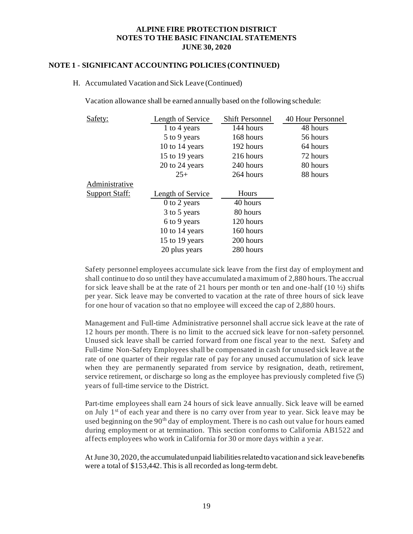## **NOTE 1 - SIGNIFICANT ACCOUNTING POLICIES (CONTINUED)**

#### H. Accumulated Vacation and Sick Leave (Continued)

Vacation allowance shall be earned annually based on the following schedule:

| Length of Service | <b>Shift Personnel</b> | 40 Hour Personnel |
|-------------------|------------------------|-------------------|
| 1 to 4 years      | 144 hours              | 48 hours          |
| 5 to 9 years      | 168 hours              | 56 hours          |
| 10 to 14 years    | 192 hours              | 64 hours          |
| 15 to 19 years    | 216 hours              | 72 hours          |
| 20 to 24 years    | 240 hours              | 80 hours          |
| $25+$             | 264 hours              | 88 hours          |
|                   |                        |                   |
| Length of Service | Hours                  |                   |
| 0 to 2 years      | 40 hours               |                   |
| 3 to 5 years      | 80 hours               |                   |
| 6 to 9 years      | 120 hours              |                   |
| 10 to 14 years    | 160 hours              |                   |
| 15 to 19 years    | 200 hours              |                   |
| 20 plus years     | 280 hours              |                   |
|                   |                        |                   |

Safety personnel employees accumulate sick leave from the first day of employment and shall continue to do so until they have accumulated a maximum of 2,880 hours. The accrual for sick leave shall be at the rate of 21 hours per month or ten and one-half  $(10 \frac{1}{2})$  shifts per year. Sick leave may be converted to vacation at the rate of three hours of sick leave for one hour of vacation so that no employee will exceed the cap of 2,880 hours.

Management and Full-time Administrative personnel shall accrue sick leave at the rate of 12 hours per month. There is no limit to the accrued sick leave for non-safety personnel. Unused sick leave shall be carried forward from one fiscal year to the next. Safety and Full-time Non-Safety Employees shall be compensated in cash for unused sick leave at the rate of one quarter of their regular rate of pay for any unused accumulation of sick leave when they are permanently separated from service by resignation, death, retirement, service retirement, or discharge so long as the employee has previously completed five (5) years of full-time service to the District.

Part-time employees shall earn 24 hours of sick leave annually. Sick leave will be earned on July  $1<sup>st</sup>$  of each year and there is no carry over from year to year. Sick leave may be used beginning on the  $90<sup>th</sup>$  day of employment. There is no cash out value for hours earned during employment or at termination. This section conforms to California AB1522 and affects employees who work in California for 30 or more days within a year.

At June 30, 2020, the accumulated unpaid liabilities related to vacationand sick leavebenefits were a total of \$153,442. This is all recorded as long-term debt.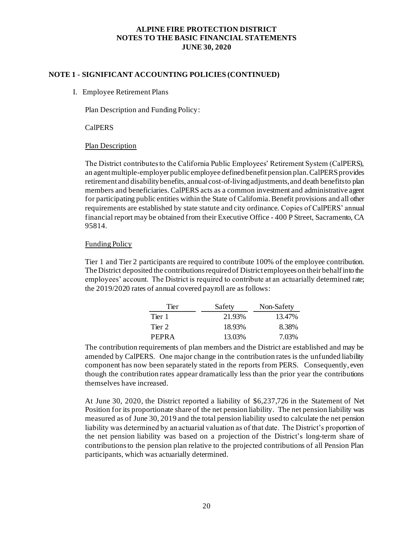# **NOTE 1 - SIGNIFICANT ACCOUNTING POLICIES (CONTINUED)**

#### I. Employee Retirement Plans

Plan Description and Funding Policy:

CalPERS

#### Plan Description

The District contributes to the California Public Employees' Retirement System (CalPERS), an agent multiple-employer public employee defined benefit pension plan.CalPERS provides retirement and disability benefits, annual cost-of-living adjustments, and death benefits to plan members and beneficiaries. CalPERS acts as a common investment and administrative agent for participating public entities within the State of California.Benefit provisions and all other requirements are established by state statute and city ordinance. Copies of CalPERS' annual financial report may be obtained from their Executive Office - 400 P Street, Sacramento, CA 95814.

#### Funding Policy

Tier 1 and Tier 2 participants are required to contribute 100% of the employee contribution. The District deposited the contributions required of District employees on their behalf into the employees' account. The District is required to contribute at an actuarially determined rate; the 2019/2020 rates of annual covered payroll are as follows:

| Tier         | Safety | Non-Safety |
|--------------|--------|------------|
| Tier 1       | 21.93% | 13.47%     |
| Tier 2       | 18.93% | 8.38%      |
| <b>PEPRA</b> | 13.03% | 7.03%      |

The contribution requirements of plan members and the District are established and may be amended by CalPERS. One major change in the contribution rates is the unfunded liability component has now been separately stated in the reports from PERS. Consequently, even though the contribution rates appear dramatically less than the prior year the contributions themselves have increased.

At June 30, 2020, the District reported a liability of \$6,237,726 in the Statement of Net Position for its proportionate share of the net pension liability. The net pension liability was measured as of June 30, 2019 and the total pension liability used to calculate the net pension liability was determined by an actuarial valuation as of that date. The District's proportion of the net pension liability was based on a projection of the District's long-term share of contributions to the pension plan relative to the projected contributions of all Pension Plan participants, which was actuarially determined.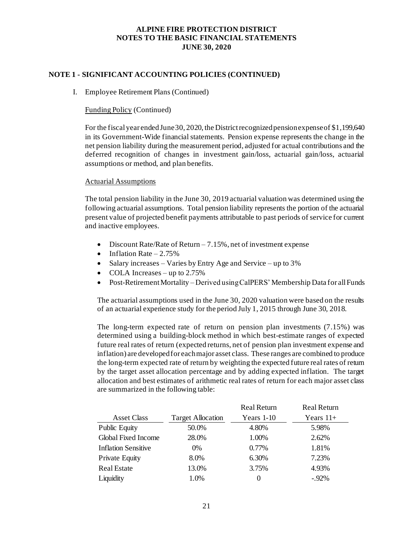# **NOTE 1 - SIGNIFICANT ACCOUNTING POLICIES (CONTINUED)**

#### I. Employee Retirement Plans (Continued)

#### Funding Policy (Continued)

For the fiscal year ended June 30, 2020, the District recognized pension expense of \$1,199,640 in its Government-Wide financial statements. Pension expense represents the change in the net pension liability during the measurement period, adjusted for actual contributions and the deferred recognition of changes in investment gain/loss, actuarial gain/loss, actuarial assumptions or method, and plan benefits.

#### Actuarial Assumptions

The total pension liability in the June 30, 2019 actuarial valuation was determined using the following actuarial assumptions. Total pension liability represents the portion of the actuarial present value of projected benefit payments attributable to past periods of service for current and inactive employees.

- Discount Rate/Rate of Return 7.15%, net of investment expense
- Inflation Rate  $-2.75\%$
- Salary increases Varies by Entry Age and Service up to 3%
- COLA Increases up to 2.75%
- Post-Retirement Mortality Derived using CalPERS' Membership Data for all Funds

The actuarial assumptions used in the June 30, 2020 valuation were based on the results of an actuarial experience study for the period July 1, 2015 through June 30, 2018.

The long-term expected rate of return on pension plan investments (7.15%) was determined using a building-block method in which best-estimate ranges of expected future real rates of return (expected returns, net of pension plan investment expense and inflation) are developed for each major asset class. These ranges are combined to produce the long-term expected rate of return by weighting the expected future real rates of return by the target asset allocation percentage and by adding expected inflation. The target allocation and best estimates of arithmetic real rates of return for each major asset class are summarized in the following table:

|                            |                          | <b>Real Return</b> | <b>Real Return</b> |
|----------------------------|--------------------------|--------------------|--------------------|
| <b>Asset Class</b>         | <b>Target Allocation</b> | Years $1-10$       | Years $11+$        |
| <b>Public Equity</b>       | 50.0%                    | 4.80%              | 5.98%              |
| Global Fixed Income        | 28.0%                    | 1.00%              | 2.62%              |
| <b>Inflation Sensitive</b> | $0\%$                    | 0.77%              | 1.81%              |
| Private Equity             | 8.0%                     | 6.30%              | 7.23%              |
| <b>Real Estate</b>         | 13.0%                    | 3.75%              | 4.93%              |
| Liquidity                  | 1.0%                     | $_{0}$             | $-.92%$            |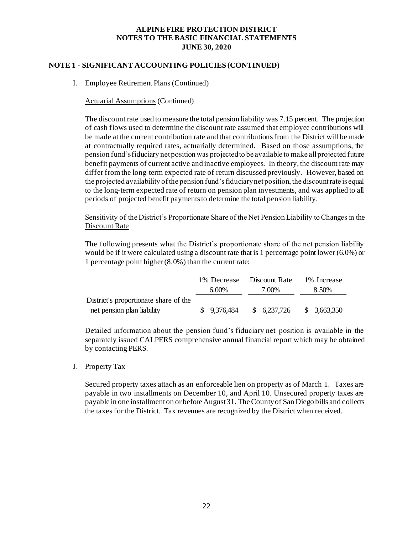# **NOTE 1 - SIGNIFICANT ACCOUNTING POLICIES (CONTINUED)**

I. Employee Retirement Plans (Continued)

#### Actuarial Assumptions (Continued)

The discount rate used to measure the total pension liability was 7.15 percent. The projection of cash flows used to determine the discount rate assumed that employee contributions will be made at the current contribution rate and that contributions from the District will be made at contractually required rates, actuarially determined. Based on those assumptions, the pension fund's fiduciary net position was projected to be available to make all projected future benefit payments of current active and inactive employees. In theory, the discount rate may differ from the long-term expected rate of return discussed previously. However, based on the projected availability of the pension fund's fiduciary net position, the discount rate is equal to the long-term expected rate of return on pension plan investments, and was applied to all periods of projected benefit payments to determine the total pension liability.

Sensitivity of the District's Proportionate Share of the Net Pension Liability to Changes in the Discount Rate

The following presents what the District's proportionate share of the net pension liability would be if it were calculated using a discount rate that is 1 percentage point lower (6.0%) or 1 percentage point higher (8.0%) than the current rate:

|                                       |          | 1% Decrease Discount Rate |       |              | 1% Increase |
|---------------------------------------|----------|---------------------------|-------|--------------|-------------|
|                                       | $6.00\%$ |                           | 7.00% |              | 8.50%       |
| District's proportionate share of the |          |                           |       |              |             |
| net pension plan liability            |          | \$ 9,376,484              |       | \$ 6,237,726 | \$3,663,350 |

Detailed information about the pension fund's fiduciary net position is available in the separately issued CALPERS comprehensive annual financial report which may be obtained by contacting PERS.

#### J. Property Tax

Secured property taxes attach as an enforceable lien on property as of March 1. Taxes are payable in two installments on December 10, and April 10. Unsecured property taxes are payable in one installment on or before August 31. The County of San Diego bills and collects the taxes for the District. Tax revenues are recognized by the District when received.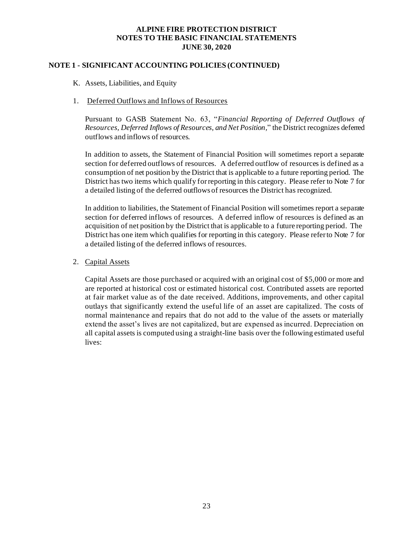# **NOTE 1 - SIGNIFICANT ACCOUNTING POLICIES (CONTINUED)**

K. Assets, Liabilities, and Equity

#### 1. Deferred Outflows and Inflows of Resources

Pursuant to GASB Statement No. 63, "*Financial Reporting of Deferred Outflows of Resources, Deferred Inflows of Resources, and Net Position,*" the District recognizes deferred outflows and inflows of resources.

In addition to assets, the Statement of Financial Position will sometimes report a separate section for deferred outflows of resources. A deferred outflow of resources is defined as a consumption of net position by the District that is applicable to a future reporting period. The District has two items which qualify for reporting in this category. Please refer to Note 7 for a detailed listing of the deferred outflows of resources the District has recognized.

In addition to liabilities, the Statement of Financial Position will sometimes report a separate section for deferred inflows of resources. A deferred inflow of resources is defined as an acquisition of net position by the District that is applicable to a future reporting period. The District has one item which qualifies for reporting in this category. Please refer to Note 7 for a detailed listing of the deferred inflows of resources.

# 2. Capital Assets

Capital Assets are those purchased or acquired with an original cost of \$5,000 or more and are reported at historical cost or estimated historical cost. Contributed assets are reported at fair market value as of the date received. Additions, improvements, and other capital outlays that significantly extend the useful life of an asset are capitalized. The costs of normal maintenance and repairs that do not add to the value of the assets or materially extend the asset's lives are not capitalized, but are expensed as incurred. Depreciation on all capital assets is computed using a straight-line basis over the following estimated useful lives: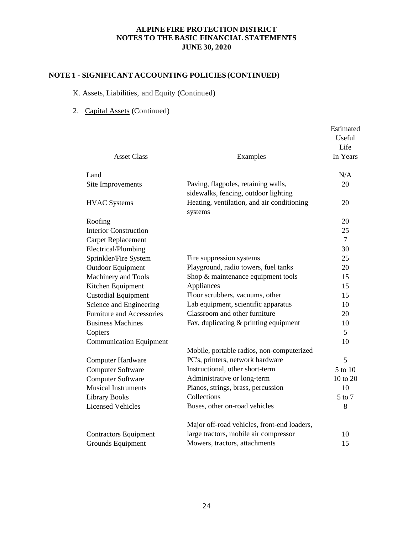# **NOTE 1 - SIGNIFICANT ACCOUNTING POLICIES (CONTINUED)**

# K. Assets, Liabilities, and Equity (Continued)

# 2. Capital Assets (Continued)

|                                  |                                                                                    | Estimated      |
|----------------------------------|------------------------------------------------------------------------------------|----------------|
|                                  |                                                                                    | Useful         |
|                                  |                                                                                    | Life           |
| <b>Asset Class</b>               | Examples                                                                           | In Years       |
| Land                             |                                                                                    | N/A            |
|                                  | Paving, flagpoles, retaining walls,                                                | 20             |
| Site Improvements                |                                                                                    |                |
|                                  | sidewalks, fencing, outdoor lighting<br>Heating, ventilation, and air conditioning | 20             |
| <b>HVAC Systems</b>              | systems                                                                            |                |
| Roofing                          |                                                                                    | 20             |
| <b>Interior Construction</b>     |                                                                                    | 25             |
| <b>Carpet Replacement</b>        |                                                                                    | $\overline{7}$ |
| Electrical/Plumbing              |                                                                                    | 30             |
| Sprinkler/Fire System            | Fire suppression systems                                                           | 25             |
| <b>Outdoor Equipment</b>         | Playground, radio towers, fuel tanks                                               | 20             |
| Machinery and Tools              | Shop & maintenance equipment tools                                                 | 15             |
| Kitchen Equipment                | Appliances                                                                         | 15             |
| <b>Custodial Equipment</b>       | Floor scrubbers, vacuums, other                                                    | 15             |
| Science and Engineering          | Lab equipment, scientific apparatus                                                | 10             |
| <b>Furniture and Accessories</b> | Classroom and other furniture                                                      | 20             |
| <b>Business Machines</b>         | Fax, duplicating & printing equipment                                              | 10             |
| Copiers                          |                                                                                    | 5              |
| <b>Communication Equipment</b>   |                                                                                    | 10             |
|                                  | Mobile, portable radios, non-computerized                                          |                |
| <b>Computer Hardware</b>         | PC's, printers, network hardware                                                   | 5              |
| <b>Computer Software</b>         | Instructional, other short-term                                                    | 5 to 10        |
| <b>Computer Software</b>         | Administrative or long-term                                                        | 10 to 20       |
| <b>Musical Instruments</b>       | Pianos, strings, brass, percussion                                                 | 10             |
| <b>Library Books</b>             | Collections                                                                        | 5 to 7         |
| <b>Licensed Vehicles</b>         | Buses, other on-road vehicles                                                      | 8              |
|                                  | Major off-road vehicles, front-end loaders,                                        |                |
| <b>Contractors Equipment</b>     | large tractors, mobile air compressor                                              | 10             |
| Grounds Equipment                | Mowers, tractors, attachments                                                      | 15             |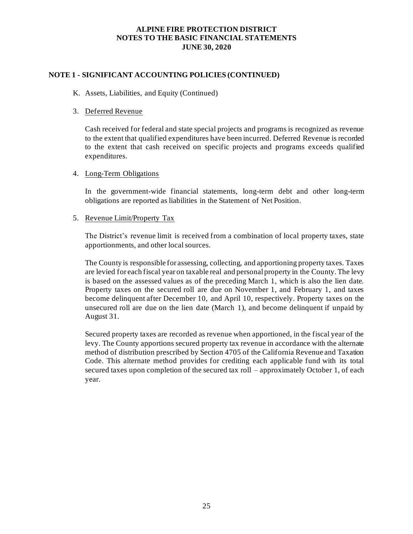#### **NOTE 1 - SIGNIFICANT ACCOUNTING POLICIES (CONTINUED)**

#### K. Assets, Liabilities, and Equity (Continued)

#### 3. Deferred Revenue

Cash received for federal and state special projects and programs is recognized as revenue to the extent that qualified expenditures have been incurred. Deferred Revenue is recorded to the extent that cash received on specific projects and programs exceeds qualified expenditures.

#### 4. Long-Term Obligations

In the government-wide financial statements, long-term debt and other long-term obligations are reported as liabilities in the Statement of Net Position.

#### 5. Revenue Limit/Property Tax

The District's revenue limit is received from a combination of local property taxes, state apportionments, and other local sources.

The County is responsible for assessing, collecting, and apportioning property taxes. Taxes are levied for each fiscal year on taxable real and personal property in the County. The levy is based on the assessed values as of the preceding March 1, which is also the lien date. Property taxes on the secured roll are due on November 1, and February 1, and taxes become delinquent after December 10, and April 10, respectively. Property taxes on the unsecured roll are due on the lien date (March 1), and become delinquent if unpaid by August 31.

Secured property taxes are recorded as revenue when apportioned, in the fiscal year of the levy. The County apportions secured property tax revenue in accordance with the alternate method of distribution prescribed by Section 4705 of the California Revenue and Taxation Code. This alternate method provides for crediting each applicable fund with its total secured taxes upon completion of the secured tax roll – approximately October 1, of each year.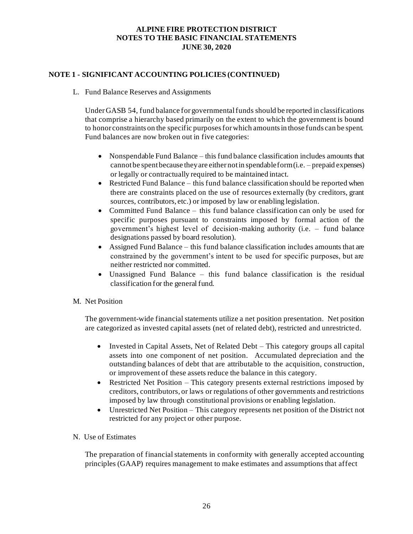# **NOTE 1 - SIGNIFICANT ACCOUNTING POLICIES (CONTINUED)**

#### L. Fund Balance Reserves and Assignments

Under GASB 54, fund balance for governmental funds should be reported in classifications that comprise a hierarchy based primarily on the extent to which the government is bound to honor constraints on the specific purposes for which amounts in those funds can be spent. Fund balances are now broken out in five categories:

- Nonspendable Fund Balance this fund balance classification includes amounts that cannot be spent because they are either not in spendable form (i.e. – prepaid expenses) or legally or contractually required to be maintained intact.
- Restricted Fund Balance this fund balance classification should be reported when there are constraints placed on the use of resources externally (by creditors, grant sources, contributors, etc.) or imposed by law or enabling legislation.
- Committed Fund Balance this fund balance classification can only be used for specific purposes pursuant to constraints imposed by formal action of the government's highest level of decision-making authority (i.e. – fund balance designations passed by board resolution).
- Assigned Fund Balance this fund balance classification includes amounts that are constrained by the government's intent to be used for specific purposes, but are neither restricted nor committed.
- Unassigned Fund Balance this fund balance classification is the residual classification for the general fund.

#### M. Net Position

The government-wide financial statements utilize a net position presentation. Net position are categorized as invested capital assets (net of related debt), restricted and unrestricted.

- Invested in Capital Assets, Net of Related Debt This category groups all capital assets into one component of net position. Accumulated depreciation and the outstanding balances of debt that are attributable to the acquisition, construction, or improvement of these assets reduce the balance in this category.
- Restricted Net Position This category presents external restrictions imposed by creditors, contributors, or laws or regulations of other governments and restrictions imposed by law through constitutional provisions or enabling legislation.
- Unrestricted Net Position This category represents net position of the District not restricted for any project or other purpose.

#### N. Use of Estimates

The preparation of financial statements in conformity with generally accepted accounting principles (GAAP) requires management to make estimates and assumptions that affect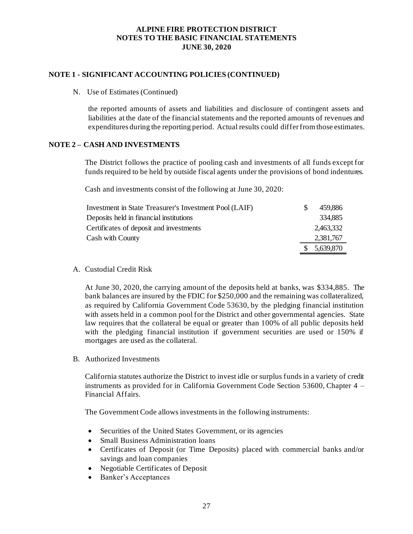# **NOTE 1 - SIGNIFICANT ACCOUNTING POLICIES (CONTINUED)**

N. Use of Estimates (Continued)

the reported amounts of assets and liabilities and disclosure of contingent assets and liabilities at the date of the financial statements and the reported amounts of revenues and expenditures during the reporting period. Actual results could differ from those estimates.

# **NOTE 2 – CASH AND INVESTMENTS**

The District follows the practice of pooling cash and investments of all funds except for funds required to be held by outside fiscal agents under the provisions of bond indentures.

Cash and investments consist of the following at June 30, 2020:

| Investment in State Treasurer's Investment Pool (LAIF) | 459.886     |
|--------------------------------------------------------|-------------|
| Deposits held in financial institutions                | 334,885     |
| Certificates of deposit and investments                | 2,463,332   |
| Cash with County                                       | 2,381,767   |
|                                                        | \$5,639,870 |

A. Custodial Credit Risk

At June 30, 2020, the carrying amount of the deposits held at banks, was \$334,885. The bank balances are insured by the FDIC for \$250,000 and the remaining was collateralized, as required by California Government Code 53630, by the pledging financial institution with assets held in a common pool for the District and other governmental agencies. State law requires that the collateral be equal or greater than 100% of all public deposits held with the pledging financial institution if government securities are used or 150% if mortgages are used as the collateral.

B. Authorized Investments

California statutes authorize the District to invest idle or surplus funds in a variety of credit instruments as provided for in California Government Code Section 53600, Chapter 4 – Financial Affairs.

The Government Code allows investments in the following instruments:

- Securities of the United States Government, or its agencies
- Small Business Administration loans
- Certificates of Deposit (or Time Deposits) placed with commercial banks and/or savings and loan companies
- Negotiable Certificates of Deposit
- Banker's Acceptances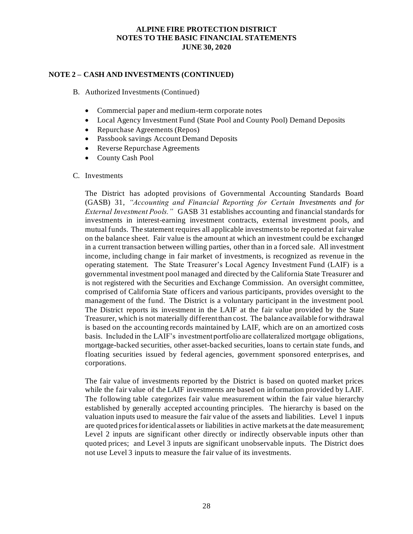# **NOTE 2 – CASH AND INVESTMENTS (CONTINUED)**

- B. Authorized Investments (Continued)
	- Commercial paper and medium-term corporate notes
	- Local Agency Investment Fund (State Pool and County Pool) Demand Deposits
	- Repurchase Agreements (Repos)
	- Passbook savings Account Demand Deposits
	- Reverse Repurchase Agreements
	- County Cash Pool

#### C. Investments

The District has adopted provisions of Governmental Accounting Standards Board (GASB) 31, *"Accounting and Financial Reporting for Certain Investments and for External Investment Pools."* GASB 31 establishes accounting and financial standards for investments in interest-earning investment contracts, external investment pools, and mutual funds. The statement requires all applicable investments to be reported at fair value on the balance sheet. Fair value is the amount at which an investment could be exchanged in a current transaction between willing parties, other than in a forced sale. All investment income, including change in fair market of investments, is recognized as revenue in the operating statement. The State Treasurer's Local Agency Investment Fund (LAIF) is a governmental investment pool managed and directed by the California State Treasurer and is not registered with the Securities and Exchange Commission. An oversight committee, comprised of California State officers and various participants, provides oversight to the management of the fund. The District is a voluntary participant in the investment pool. The District reports its investment in the LAIF at the fair value provided by the State Treasurer, which is not materially different than cost. The balance available for withdrawal is based on the accounting records maintained by LAIF, which are on an amortized costs basis. Included in the LAIF's investment portfolio are collateralized mortgage obligations, mortgage-backed securities, other asset-backed securities, loans to certain state funds, and floating securities issued by federal agencies, government sponsored enterprises, and corporations.

The fair value of investments reported by the District is based on quoted market prices while the fair value of the LAIF investments are based on information provided by LAIF. The following table categorizes fair value measurement within the fair value hierarchy established by generally accepted accounting principles. The hierarchy is based on the valuation inputs used to measure the fair value of the assets and liabilities. Level 1 inputs are quoted prices for identical assets or liabilities in active markets at the date measurement; Level 2 inputs are significant other directly or indirectly observable inputs other than quoted prices; and Level 3 inputs are significant unobservable inputs. The District does not use Level 3 inputs to measure the fair value of its investments.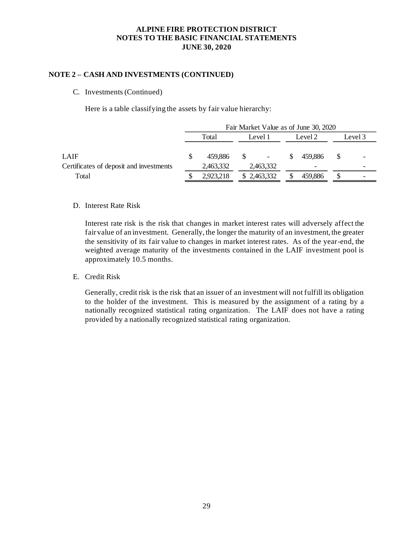## **NOTE 2 – CASH AND INVESTMENTS (CONTINUED)**

C. Investments (Continued)

Here is a table classifying the assets by fair value hierarchy:

|                                         | Fair Market Value as of June 30, 2020 |           |          |                    |  |                          |         |  |
|-----------------------------------------|---------------------------------------|-----------|----------|--------------------|--|--------------------------|---------|--|
|                                         | Total                                 |           |          | Level 2<br>Level 1 |  |                          | Level 3 |  |
|                                         |                                       |           |          |                    |  |                          |         |  |
| LAIF                                    |                                       | 459.886   | <b>S</b> |                    |  | 459.886                  |         |  |
| Certificates of deposit and investments |                                       | 2,463,332 |          | 2,463,332          |  | $\overline{\phantom{0}}$ |         |  |
| Total                                   |                                       | 2,923,218 |          | \$2,463,332        |  | 459.886                  |         |  |

#### D. Interest Rate Risk

Interest rate risk is the risk that changes in market interest rates will adversely affect the fair value of an investment. Generally, the longer the maturity of an investment, the greater the sensitivity of its fair value to changes in market interest rates. As of the year-end, the weighted average maturity of the investments contained in the LAIF investment pool is approximately 10.5 months.

#### E. Credit Risk

Generally, credit risk is the risk that an issuer of an investment will not fulfill its obligation to the holder of the investment. This is measured by the assignment of a rating by a nationally recognized statistical rating organization. The LAIF does not have a rating provided by a nationally recognized statistical rating organization.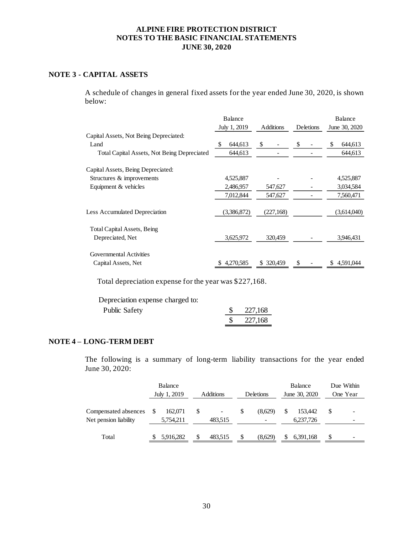# **NOTE 3 - CAPITAL ASSETS**

A schedule of changes in general fixed assets for the year ended June 30, 2020, is shown below:

|                                                    | Balance       |                  |                  | Balance       |
|----------------------------------------------------|---------------|------------------|------------------|---------------|
|                                                    | July 1, 2019  | <b>Additions</b> | <b>Deletions</b> | June 30, 2020 |
| Capital Assets, Not Being Depreciated:             |               |                  |                  |               |
| Land                                               | 644,613<br>\$ | \$               | \$               | \$<br>644,613 |
| <b>Total Capital Assets, Not Being Depreciated</b> | 644,613       |                  |                  | 644,613       |
| Capital Assets, Being Depreciated:                 |               |                  |                  |               |
| Structures & improvements                          | 4,525,887     |                  |                  | 4,525,887     |
| Equipment & vehicles                               | 2,486,957     | 547,627          |                  | 3,034,584     |
|                                                    | 7,012,844     | 547,627          |                  | 7,560,471     |
| <b>Less Accumulated Depreciation</b>               | (3,386,872)   | (227, 168)       |                  | (3,614,040)   |
| <b>Total Capital Assets, Being</b>                 |               |                  |                  |               |
| Depreciated, Net                                   | 3,625,972     | 320,459          |                  | 3,946,431     |
| Governmental Activities                            |               |                  |                  |               |
| Capital Assets, Net                                | \$4,270,585   | \$ 320,459       | \$               | \$4.591,044   |

Total depreciation expense for the year was \$227,168.

Depreciation expense charged to:

|                      |  | $\frac{\$}{227,168}$ |
|----------------------|--|----------------------|
| <b>Public Safety</b> |  | 227,168              |

# **NOTE 4 – LONG-TERM DEBT**

The following is a summary of long-term liability transactions for the year ended June 30, 2020:

|                                               | Balance<br>July 1, 2019 |   | <b>Additions</b>                    |    | Deletions | Balance<br>June 30, 2020 |   | Due Within<br>One Year |
|-----------------------------------------------|-------------------------|---|-------------------------------------|----|-----------|--------------------------|---|------------------------|
| Compensated absences<br>Net pension liability | 162,071<br>5,754,211    | S | $\overline{\phantom{a}}$<br>483,515 | \$ | (8,629)   | 153.442<br>6,237,726     | S |                        |
| Total                                         | 5,916,282               |   | 483.515                             | S  | (8,629)   | 6,391,168                | S |                        |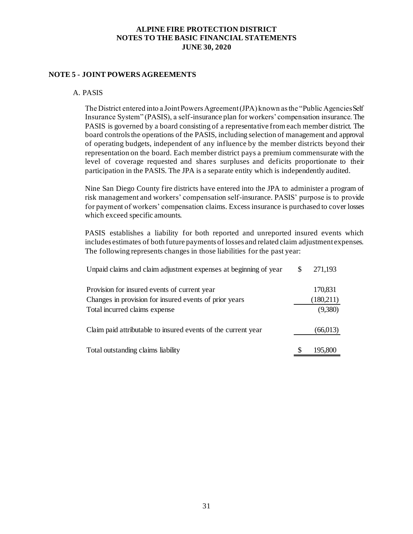## **NOTE 5 - JOINT POWERS AGREEMENTS**

#### A. PASIS

The District entered into a Joint Powers Agreement (JPA) known as the "Public Agencies Self Insurance System" (PASIS), a self-insurance plan for workers' compensation insurance. The PASIS is governed by a board consisting of a representative from each member district. The board controls the operations of the PASIS, including selection of management and approval of operating budgets, independent of any influence by the member districts beyond their representation on the board. Each member district pays a premium commensurate with the level of coverage requested and shares surpluses and deficits proportionate to their participation in the PASIS. The JPA is a separate entity which is independently audited.

Nine San Diego County fire districts have entered into the JPA to administer a program of risk management and workers' compensation self-insurance. PASIS' purpose is to provide for payment of workers' compensation claims. Excess insurance is purchased to cover losses which exceed specific amounts.

PASIS establishes a liability for both reported and unreported insured events which includes estimates of both future payments of losses and related claim adjustment expenses. The following represents changes in those liabilities for the past year:

| Unpaid claims and claim adjustment expenses at beginning of year | S | 271,193   |
|------------------------------------------------------------------|---|-----------|
| Provision for insured events of current year                     |   | 170,831   |
| Changes in provision for insured events of prior years           |   | (180,211) |
| Total incurred claims expense                                    |   | (9,380)   |
| Claim paid attributable to insured events of the current year    |   | (66,013)  |
| Total outstanding claims liability                               |   | 195,800   |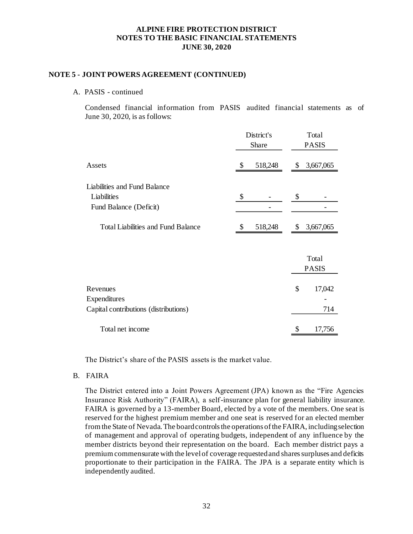## **NOTE 5 - JOINT POWERS AGREEMENT (CONTINUED)**

#### A. PASIS - continued

Condensed financial information from PASIS audited financial statements as of June 30, 2020, is as follows:

|                                           |                           | District's<br>Share | Total<br><b>PASIS</b> |
|-------------------------------------------|---------------------------|---------------------|-----------------------|
| Assets                                    | $\boldsymbol{\mathsf{S}}$ | 518,248             | \$<br>3,667,065       |
| <b>Liabilities and Fund Balance</b>       |                           |                     |                       |
| Liabilities                               | \$                        |                     | \$                    |
| Fund Balance (Deficit)                    |                           |                     |                       |
| <b>Total Liabilities and Fund Balance</b> | \$                        | 518,248             | \$<br>3,667,065       |
|                                           |                           |                     | Total                 |
|                                           |                           |                     | <b>PASIS</b>          |
|                                           |                           |                     | \$                    |
| Revenues                                  |                           |                     | 17,042                |
| <b>Expenditures</b>                       |                           |                     |                       |
| Capital contributions (distributions)     |                           |                     | 714                   |
| Total net income                          |                           |                     | \$<br>17,756          |

The District's share of the PASIS assets is the market value.

#### B. FAIRA

The District entered into a Joint Powers Agreement (JPA) known as the "Fire Agencies Insurance Risk Authority" (FAIRA), a self-insurance plan for general liability insurance. FAIRA is governed by a 13-member Board, elected by a vote of the members. One seat is reserved for the highest premium member and one seat is reserved for an elected member from the State of Nevada. The board controls the operations of the FAIRA, including selection of management and approval of operating budgets, independent of any influence by the member districts beyond their representation on the board. Each member district pays a premium commensurate with the level of coverage requested and shares surpluses and deficits proportionate to their participation in the FAIRA. The JPA is a separate entity which is independently audited.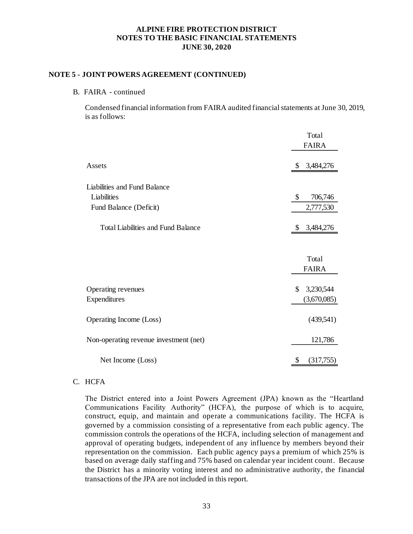## **NOTE 5 - JOINT POWERS AGREEMENT (CONTINUED)**

#### B. FAIRA - continued

Condensed financial information from FAIRA audited financial statements at June 30, 2019, is as follows:

|                                           | Total                                |
|-------------------------------------------|--------------------------------------|
|                                           | <b>FAIRA</b>                         |
| Assets                                    | 3,484,276<br>\$                      |
| Liabilities and Fund Balance              |                                      |
| Liabilities                               | $\boldsymbol{\mathsf{S}}$<br>706,746 |
| Fund Balance (Deficit)                    | 2,777,530                            |
| <b>Total Liabilities and Fund Balance</b> | 3,484,276<br>S.                      |
|                                           | Total<br><b>FAIRA</b>                |
| Operating revenues                        | \$<br>3,230,544                      |
| Expenditures                              | (3,670,085)                          |
| Operating Income (Loss)                   | (439,541)                            |
| Non-operating revenue investment (net)    | 121,786                              |
|                                           |                                      |

#### C. HCFA

The District entered into a Joint Powers Agreement (JPA) known as the "Heartland Communications Facility Authority" (HCFA), the purpose of which is to acquire, construct, equip, and maintain and operate a communications facility. The HCFA is governed by a commission consisting of a representative from each public agency. The commission controls the operations of the HCFA, including selection of management and approval of operating budgets, independent of any influence by members beyond their representation on the commission. Each public agency pays a premium of which 25% is based on average daily staffing and 75% based on calendar year incident count. Because the District has a minority voting interest and no administrative authority, the financial transactions of the JPA are not included in this report.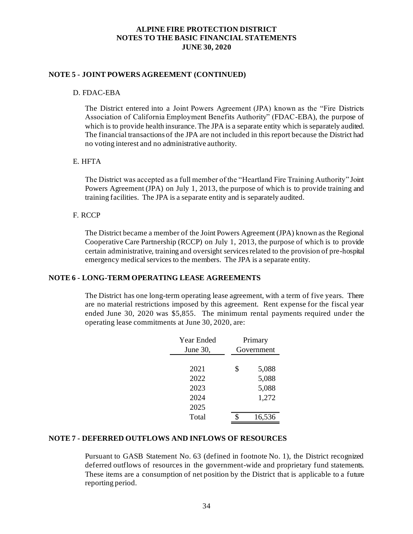#### **NOTE 5 - JOINT POWERS AGREEMENT (CONTINUED)**

#### D. FDAC-EBA

The District entered into a Joint Powers Agreement (JPA) known as the "Fire Districts Association of California Employment Benefits Authority" (FDAC-EBA), the purpose of which is to provide health insurance. The JPA is a separate entity which is separately audited. The financial transactions of the JPA are not included in this report because the District had no voting interest and no administrative authority.

#### E. HFTA

The District was accepted as a full member of the "Heartland Fire Training Authority" Joint Powers Agreement (JPA) on July 1, 2013, the purpose of which is to provide training and training facilities. The JPA is a separate entity and is separately audited.

#### F. RCCP

The District became a member of the Joint Powers Agreement (JPA) known as the Regional Cooperative Care Partnership (RCCP) on July 1, 2013, the purpose of which is to provide certain administrative, training and oversight services related to the provision of pre-hospital emergency medical services to the members. The JPA is a separate entity.

#### **NOTE 6 - LONG-TERM OPERATING LEASE AGREEMENTS**

The District has one long-term operating lease agreement, with a term of five years. There are no material restrictions imposed by this agreement. Rent expense for the fiscal year ended June 30, 2020 was \$5,855. The minimum rental payments required under the operating lease commitments at June 30, 2020, are:

| Year Ended | Primary     |
|------------|-------------|
| June 30,   | Government  |
|            |             |
| 2021       | \$<br>5,088 |
| 2022       | 5,088       |
| 2023       | 5,088       |
| 2024       | 1,272       |
| 2025       |             |
| Total      | 16,536      |
|            |             |

#### **NOTE 7 - DEFERRED OUTFLOWS AND INFLOWS OF RESOURCES**

Pursuant to GASB Statement No. 63 (defined in footnote No. 1), the District recognized deferred outflows of resources in the government-wide and proprietary fund statements. These items are a consumption of net position by the District that is applicable to a future reporting period.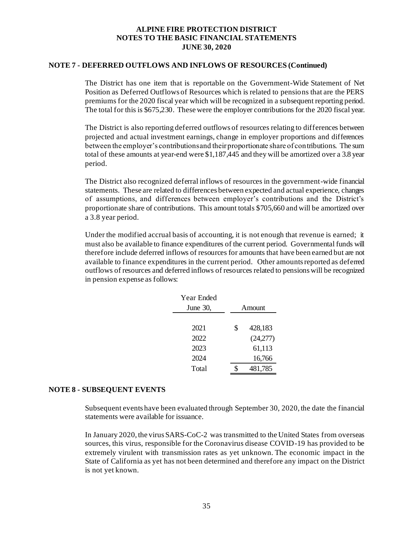#### **NOTE 7 - DEFERRED OUTFLOWS AND INFLOWS OF RESOURCES (Continued)**

The District has one item that is reportable on the Government-Wide Statement of Net Position as Deferred Outflows of Resources which is related to pensions that are the PERS premiums for the 2020 fiscal year which will be recognized in a subsequent reporting period. The total for this is \$675,230. These were the employer contributions for the 2020 fiscal year.

The District is also reporting deferred outflows of resources relating to differences between projected and actual investment earnings, change in employer proportions and differences between the employer's contributions and their proportionate share of contributions. The sum total of these amounts at year-end were \$1,187,445 and they will be amortized over a 3.8 year period.

The District also recognized deferral inflows of resources in the government-wide financial statements. These are related to differences between expected and actual experience, changes of assumptions, and differences between employer's contributions and the District's proportionate share of contributions. This amount totals \$705,660 and will be amortized over a 3.8 year period.

Under the modified accrual basis of accounting, it is not enough that revenue is earned; it must also be available to finance expenditures of the current period. Governmental funds will therefore include deferred inflows of resources for amounts that have been earned but are not available to finance expenditures in the current period. Other amounts reported as deferred outflows of resources and deferred inflows of resources related to pensions will be recognized in pension expense as follows:

| Year Ended |        |          |  |  |
|------------|--------|----------|--|--|
| June 30,   | Amount |          |  |  |
|            |        |          |  |  |
| 2021       | \$     | 428,183  |  |  |
| 2022       |        | (24,277) |  |  |
| 2023       |        | 61,113   |  |  |
| 2024       |        | 16,766   |  |  |
| Total      |        | 481,785  |  |  |

#### **NOTE 8 - SUBSEQUENT EVENTS**

Subsequent events have been evaluated through September 30, 2020, the date the financial statements were available for issuance.

In January 2020, the virus SARS-CoC-2 was transmitted to the United States from overseas sources, this virus, responsible for the Coronavirus disease COVID-19 has provided to be extremely virulent with transmission rates as yet unknown. The economic impact in the State of California as yet has not been determined and therefore any impact on the District is not yet known.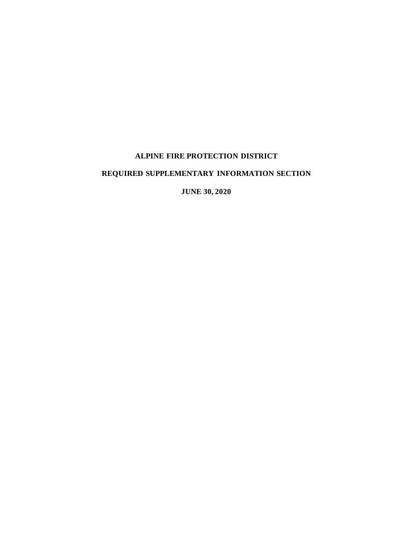# **ALPINE FIRE PROTECTION DISTRICT**

# **REQUIRED SUPPLEMENTARY INFORMATION SECTION**

**JUNE 30, 2020**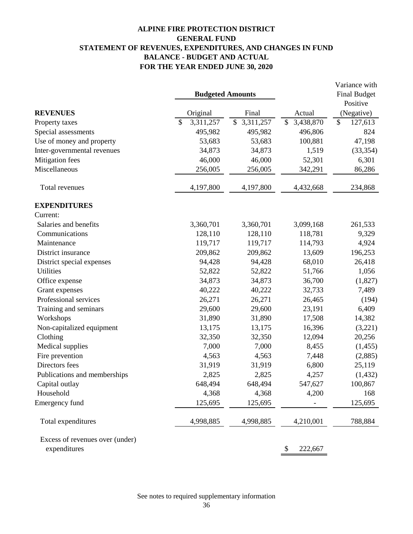# **ALPINE FIRE PROTECTION DISTRICT GENERAL FUND STATEMENT OF REVENUES, EXPENDITURES, AND CHANGES IN FUND BALANCE - BUDGET AND ACTUAL FOR THE YEAR ENDED JUNE 30, 2020**

|                                 |                            |                 |                                      | Variance with       |  |  |
|---------------------------------|----------------------------|-----------------|--------------------------------------|---------------------|--|--|
|                                 | <b>Budgeted Amounts</b>    |                 |                                      | <b>Final Budget</b> |  |  |
|                                 |                            |                 |                                      | Positive            |  |  |
| <b>REVENUES</b>                 | Original                   | Final           | Actual                               | (Negative)          |  |  |
| Property taxes                  | $\mathcal{S}$<br>3,311,257 | 3,311,257<br>\$ | $\mathcal{S}$<br>3,438,870           | \$<br>127,613       |  |  |
| Special assessments             | 495,982                    | 495,982         | 496,806                              | 824                 |  |  |
| Use of money and property       | 53,683                     | 53,683          | 100,881                              | 47,198              |  |  |
| Inter-governmental revenues     | 34,873                     | 34,873          | 1,519                                | (33, 354)           |  |  |
| Mitigation fees                 | 46,000                     | 46,000          | 52,301                               | 6,301               |  |  |
| Miscellaneous                   | 256,005                    | 256,005         | 342,291                              | 86,286              |  |  |
| Total revenues                  | 4,197,800                  | 4,197,800       | 4,432,668                            | 234,868             |  |  |
| <b>EXPENDITURES</b>             |                            |                 |                                      |                     |  |  |
| Current:                        |                            |                 |                                      |                     |  |  |
| Salaries and benefits           | 3,360,701                  | 3,360,701       | 3,099,168                            | 261,533             |  |  |
| Communications                  | 128,110                    | 128,110         | 118,781                              | 9,329               |  |  |
| Maintenance                     | 119,717                    | 119,717         | 114,793                              | 4,924               |  |  |
| District insurance              | 209,862                    | 209,862         | 13,609                               | 196,253             |  |  |
| District special expenses       | 94,428                     | 94,428          | 68,010                               | 26,418              |  |  |
| <b>Utilities</b>                | 52,822                     | 52,822          | 51,766                               | 1,056               |  |  |
| Office expense                  | 34,873                     | 34,873          | 36,700                               | (1,827)             |  |  |
| Grant expenses                  | 40,222                     | 40,222          | 32,733                               | 7,489               |  |  |
| Professional services           | 26,271                     | 26,271          | 26,465                               | (194)               |  |  |
| Training and seminars           | 29,600                     | 29,600          | 23,191                               | 6,409               |  |  |
| Workshops                       | 31,890                     | 31,890          | 17,508                               | 14,382              |  |  |
| Non-capitalized equipment       | 13,175                     | 13,175          | 16,396                               | (3,221)             |  |  |
| Clothing                        | 32,350                     | 32,350          | 12,094                               | 20,256              |  |  |
| Medical supplies                | 7,000                      | 7,000           | 8,455                                | (1,455)             |  |  |
| Fire prevention                 | 4,563                      | 4,563           | 7,448                                | (2,885)             |  |  |
| Directors fees                  | 31,919                     | 31,919          | 6,800                                | 25,119              |  |  |
| Publications and memberships    | 2,825                      | 2,825           | 4,257                                | (1, 432)            |  |  |
| Capital outlay                  | 648,494                    | 648,494         | 547,627                              | 100,867             |  |  |
| Household                       | 4,368                      | 4,368           | 4,200                                | 168                 |  |  |
| Emergency fund                  | 125,695                    | 125,695         |                                      | 125,695             |  |  |
| Total expenditures              | 4,998,885                  | 4,998,885       | 4,210,001                            | 788,884             |  |  |
| Excess of revenues over (under) |                            |                 |                                      |                     |  |  |
| expenditures                    |                            |                 | 222,667<br>$\boldsymbol{\mathsf{S}}$ |                     |  |  |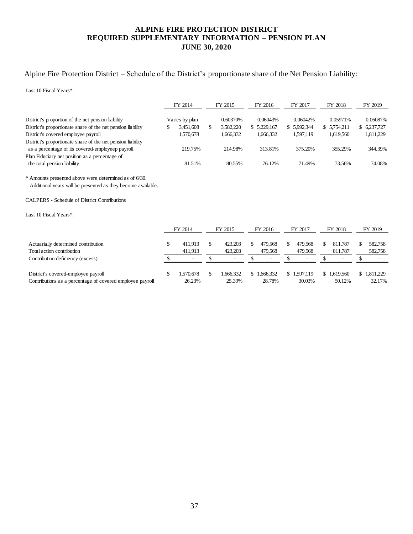# **ALPINE FIRE PROTECTION DISTRICT REQUIRED SUPPLEMENTARY INFORMATION – PENSION PLAN JUNE 30, 2020**

# Alpine Fire Protection District – Schedule of the District's proportionate share of the Net Pension Liability:

Last 10 Fiscal Years\*:

|                                                              | FY 2014         | FY 2015         |     | FY 2016     | FY 2017       | FY 2018       |    | FY 2019     |
|--------------------------------------------------------------|-----------------|-----------------|-----|-------------|---------------|---------------|----|-------------|
| District's proportion of the net pension liability           | Varies by plan  | 0.60370%        |     | 0.06043%    | 0.06042%      | 0.05971%      |    | 0.06087%    |
| District's proportionate share of the net pension liability  | \$<br>3,451,608 | \$<br>3,582,220 |     | \$5,229,167 | \$ 5,992,344  | \$5,754,211   |    | \$6,237,727 |
| District's covered employee payroll                          | 1,570,678       | 1,666,332       |     | 1,666,332   | 1,597,119     | 1,619,560     |    | 1,811,229   |
| District's proportionate share of the net pension liability  |                 |                 |     |             |               |               |    |             |
| as a percentage of its covered-employeep payroll             | 219.75%         | 214.98%         |     | 313.81%     | 375.20%       | 355.29%       |    | 344.39%     |
| Plan Fiduciary net position as a percentage of               |                 |                 |     |             |               |               |    |             |
| the total pension liability                                  | 81.51%          | 80.55%          |     | 76.12%      | 71.49%        | 73.56%        |    | 74.08%      |
|                                                              |                 |                 |     |             |               |               |    |             |
| * Amounts presented above were determined as of 6/30.        |                 |                 |     |             |               |               |    |             |
| Additional years will be presented as they become available. |                 |                 |     |             |               |               |    |             |
|                                                              |                 |                 |     |             |               |               |    |             |
| <b>CALPERS</b> - Schedule of District Contributions          |                 |                 |     |             |               |               |    |             |
| Last 10 Fiscal Years*:                                       |                 |                 |     |             |               |               |    |             |
|                                                              | FY 2014         | FY 2015         |     | FY 2016     | FY 2017       | FY 2018       |    | FY 2019     |
|                                                              |                 |                 |     |             |               |               |    |             |
| Actuarially determined contribution                          | \$<br>411,913   | \$<br>423,203   | \$  | 479,568     | \$<br>479,568 | \$<br>811,787 | S  | 582,758     |
| Total action contribution                                    | 411,913         | 423,203         |     | 479,568     | 479,568       | 811,787       |    | 582,758     |
| Contribution deficiency (excess)                             | \$<br>٠         | \$              | \$. |             | \$            | \$            | \$ |             |
| District's covered-employee payroll                          | \$<br>1.570.678 | \$<br>1,666,332 |     | \$1,666,332 | \$1.597,119   | \$1,619,560   |    | \$1,811,229 |
| Contributions as a percentage of covered employee payroll    | 26.23%          | 25.39%          |     | 28.78%      | 30.03%        | 50.12%        |    | 32.17%      |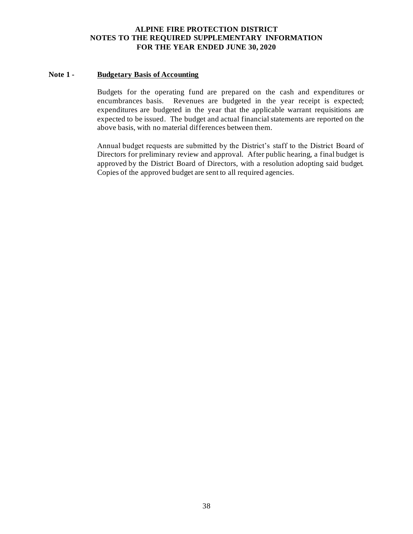## **ALPINE FIRE PROTECTION DISTRICT NOTES TO THE REQUIRED SUPPLEMENTARY INFORMATION FOR THE YEAR ENDED JUNE 30, 2020**

# **Note 1 - Budgetary Basis of Accounting**

Budgets for the operating fund are prepared on the cash and expenditures or encumbrances basis. Revenues are budgeted in the year receipt is expected; expenditures are budgeted in the year that the applicable warrant requisitions are expected to be issued. The budget and actual financial statements are reported on the above basis, with no material differences between them.

Annual budget requests are submitted by the District's staff to the District Board of Directors for preliminary review and approval. After public hearing, a final budget is approved by the District Board of Directors, with a resolution adopting said budget. Copies of the approved budget are sent to all required agencies.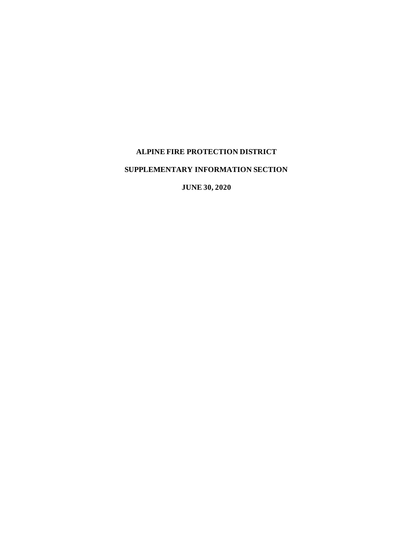# **ALPINE FIRE PROTECTION DISTRICT**

# **SUPPLEMENTARY INFORMATION SECTION**

**JUNE 30, 2020**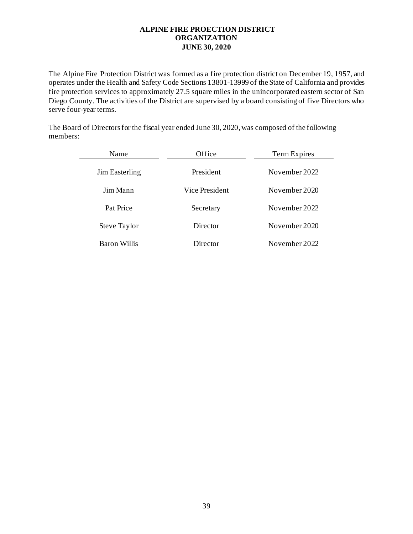# **ALPINE FIRE PROECTION DISTRICT ORGANIZATION JUNE 30, 2020**

The Alpine Fire Protection District was formed as a fire protection district on December 19, 1957, and operates under the Health and Safety Code Sections 13801-13999 of the State of California and provides fire protection services to approximately 27.5 square miles in the unincorporated eastern sector of San Diego County. The activities of the District are supervised by a board consisting of five Directors who serve four-year terms.

The Board of Directors for the fiscal year ended June 30, 2020, was composed of the following members:

| Name                | Office         | Term Expires  |  |  |  |  |
|---------------------|----------------|---------------|--|--|--|--|
| Jim Easterling      | President      | November 2022 |  |  |  |  |
| Jim Mann            | Vice President | November 2020 |  |  |  |  |
| Pat Price           | Secretary      | November 2022 |  |  |  |  |
| <b>Steve Taylor</b> | Director       | November 2020 |  |  |  |  |
| Baron Willis        | Director       | November 2022 |  |  |  |  |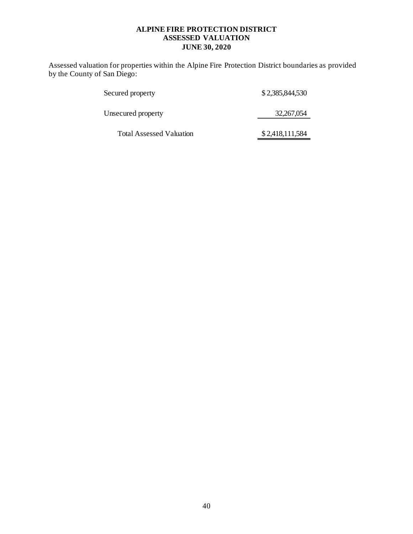# **ALPINE FIRE PROTECTION DISTRICT ASSESSED VALUATION JUNE 30, 2020**

Assessed valuation for properties within the Alpine Fire Protection District boundaries as provided by the County of San Diego:

| Secured property                | \$2,385,844,530 |
|---------------------------------|-----------------|
| Unsecured property              | 32, 267, 054    |
| <b>Total Assessed Valuation</b> | \$2,418,111,584 |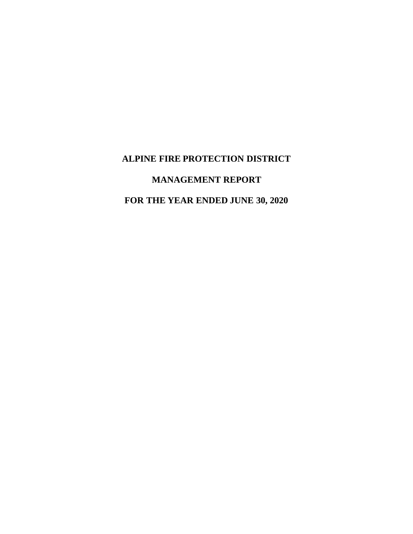# **ALPINE FIRE PROTECTION DISTRICT MANAGEMENT REPORT FOR THE YEAR ENDED JUNE 30, 2020**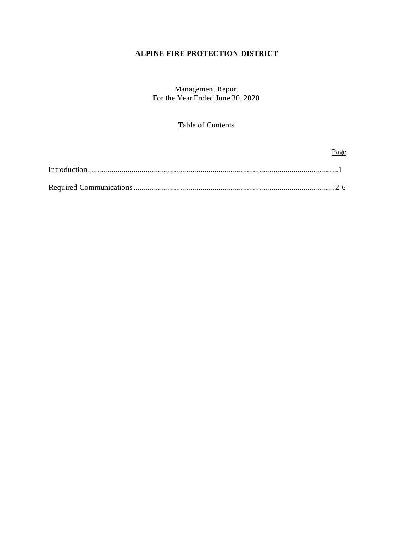# **ALPINE FIRE PROTECTION DISTRICT**

Management Report For the Year Ended June 30, 2020

# Table of Contents

Page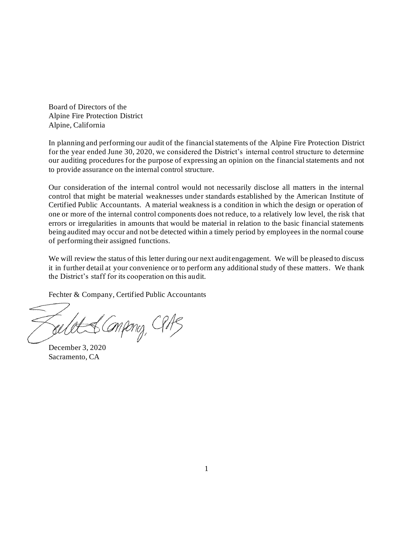Board of Directors of the Alpine Fire Protection District Alpine, California

In planning and performing our audit of the financial statements of the Alpine Fire Protection District for the year ended June 30, 2020, we considered the District's internal control structure to determine our auditing procedures for the purpose of expressing an opinion on the financial statements and not to provide assurance on the internal control structure.

Our consideration of the internal control would not necessarily disclose all matters in the internal control that might be material weaknesses under standards established by the American Institute of Certified Public Accountants. A material weakness is a condition in which the design or operation of one or more of the internal control components does not reduce, to a relatively low level, the risk that errors or irregularities in amounts that would be material in relation to the basic financial statements being audited may occur and not be detected within a timely period by employees in the normal course of performing their assigned functions.

We will review the status of this letter during our next audit engagement. We will be pleased to discuss it in further detail at your convenience or to perform any additional study of these matters. We thank the District's staff for its cooperation on this audit.

Fechter & Company, Certified Public Accountants

'Compony, CPAS

December 3, 2020 Sacramento, CA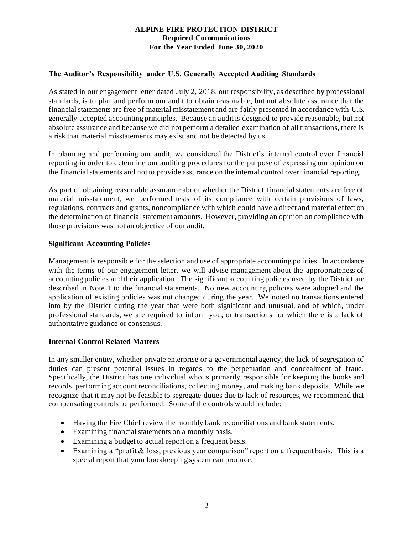## **The Auditor's Responsibility under U.S. Generally Accepted Auditing Standards**

As stated in our engagement letter dated July 2, 2018, our responsibility, as described by professional standards, is to plan and perform our audit to obtain reasonable, but not absolute assurance that the financial statements are free of material misstatement and are fairly presented in accordance with U.S. generally accepted accounting principles. Because an audit is designed to provide reasonable, but not absolute assurance and because we did not perform a detailed examination of all transactions, there is a risk that material misstatements may exist and not be detected by us.

In planning and performing our audit, we considered the District's internal control over financial reporting in order to determine our auditing procedures for the purpose of expressing our opinion on the financial statements and not to provide assurance on the internal control over financial reporting.

As part of obtaining reasonable assurance about whether the District financial statements are free of material misstatement, we performed tests of its compliance with certain provisions of laws, regulations, contracts and grants, noncompliance with which could have a direct and material effect on the determination of financial statement amounts. However, providing an opinion on compliance with those provisions was not an objective of our audit.

#### **Significant Accounting Policies**

Management is responsible for the selection and use of appropriate accounting policies. In accordance with the terms of our engagement letter, we will advise management about the appropriateness of accounting policies and their application. The significant accounting policies used by the District are described in Note 1 to the financial statements. No new accounting policies were adopted and the application of existing policies was not changed during the year. We noted no transactions entered into by the District during the year that were both significant and unusual, and of which, under professional standards, we are required to inform you, or transactions for which there is a lack of authoritative guidance or consensus.

#### **Internal Control Related Matters**

In any smaller entity, whether private enterprise or a governmental agency, the lack of segregation of duties can present potential issues in regards to the perpetuation and concealment of fraud. Specifically, the District has one individual who is primarily responsible for keeping the books and records, performing account reconciliations, collecting money, and making bank deposits. While we recognize that it may not be feasible to segregate duties due to lack of resources, we recommend that compensating controls be performed. Some of the controls would include:

- Having the Fire Chief review the monthly bank reconciliations and bank statements.
- Examining financial statements on a monthly basis.
- Examining a budget to actual report on a frequent basis.
- Examining a "profit  $\&$  loss, previous year comparison" report on a frequent basis. This is a special report that your bookkeeping system can produce.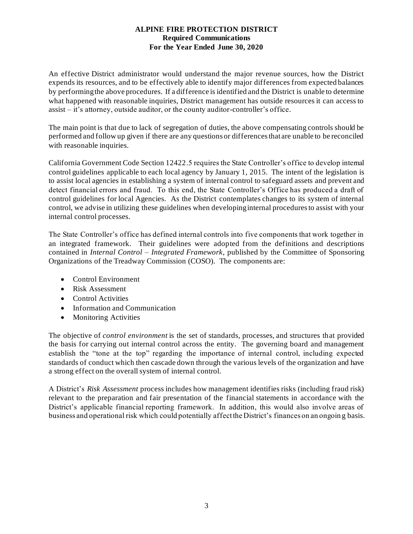An effective District administrator would understand the major revenue sources, how the District expends its resources, and to be effectively able to identify major differences from expected balances by performing the above procedures. If a difference is identified and the District is unable to determine what happened with reasonable inquiries, District management has outside resources it can access to assist – it's attorney, outside auditor, or the county auditor-controller's office.

The main point is that due to lack of segregation of duties, the above compensating controls should be performed and follow up given if there are any questions or differences that are unable to be reconciled with reasonable inquiries.

California Government Code Section 12422.5 requires the State Controller's office to develop internal control guidelines applicable to each local agency by January 1, 2015. The intent of the legislation is to assist local agencies in establishing a system of internal control to safeguard assets and prevent and detect financial errors and fraud. To this end, the State Controller's Office has produced a draft of control guidelines for local Agencies. As the District contemplates changes to its system of internal control, we advise in utilizing these guidelines when developing internal procedures to assist with your internal control processes.

The State Controller's office has defined internal controls into five components that work together in an integrated framework. Their guidelines were adopted from the definitions and descriptions contained in *Internal Control – Integrated Framework*, published by the Committee of Sponsoring Organizations of the Treadway Commission (COSO). The components are:

- Control Environment
- Risk Assessment
- Control Activities
- Information and Communication
- Monitoring Activities

The objective of *control environment* is the set of standards, processes, and structures that provided the basis for carrying out internal control across the entity. The governing board and management establish the "tone at the top" regarding the importance of internal control, including expected standards of conduct which then cascade down through the various levels of the organization and have a strong effect on the overall system of internal control.

A District's *Risk Assessment* process includes how management identifies risks (including fraud risk) relevant to the preparation and fair presentation of the financial statements in accordance with the District's applicable financial reporting framework. In addition, this would also involve areas of business and operational risk which could potentially affect the District's finances on an ongoin g basis.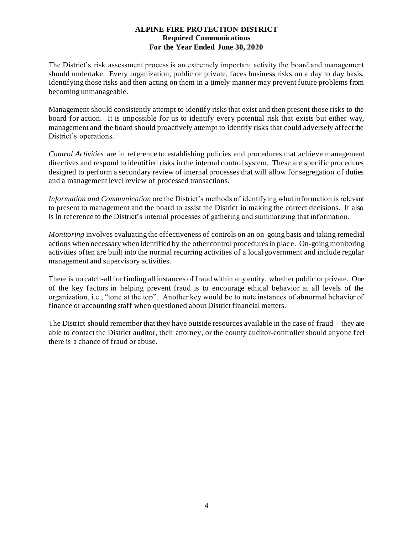The District's risk assessment process is an extremely important activity the board and management should undertake. Every organization, public or private, faces business risks on a day to day basis. Identifying those risks and then acting on them in a timely manner may prevent future problems from becoming unmanageable.

Management should consistently attempt to identify risks that exist and then present those risks to the board for action. It is impossible for us to identify every potential risk that exists but either way, management and the board should proactively attempt to identify risks that could adversely affect the District's operations.

*Control Activities* are in reference to establishing policies and procedures that achieve management directives and respond to identified risks in the internal control system. These are specific procedures designed to perform a secondary review of internal processes that will allow for segregation of duties and a management level review of processed transactions.

*Information and Communication* are the District's methods of identifying what information is relevant to present to management and the board to assist the District in making the correct decisions. It also is in reference to the District's internal processes of gathering and summarizing that information.

*Monitoring* involves evaluating the effectiveness of controls on an on-going basis and taking remedial actions when necessary when identified by the other control procedures in place. On-going monitoring activities often are built into the normal recurring activities of a local government and include regular management and supervisory activities.

There is no catch-all for finding all instances of fraud within any entity, whether public or private. One of the key factors in helping prevent fraud is to encourage ethical behavior at all levels of the organization, i.e., "tone at the top". Another key would be to note instances of abnormal behavior of finance or accounting staff when questioned about District financial matters.

The District should remember that they have outside resources available in the case of fraud – they are able to contact the District auditor, their attorney, or the county auditor-controller should anyone feel there is a chance of fraud or abuse.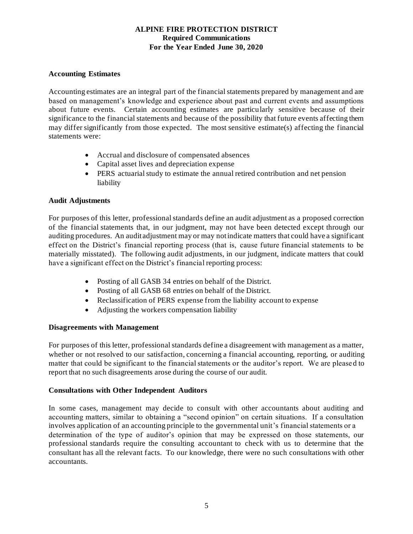# **Accounting Estimates**

Accounting estimates are an integral part of the financial statements prepared by management and are based on management's knowledge and experience about past and current events and assumptions about future events. Certain accounting estimates are particularly sensitive because of their significance to the financial statements and because of the possibility that future events affecting them may differ significantly from those expected. The most sensitive estimate(s) affecting the financial statements were:

- Accrual and disclosure of compensated absences
- Capital asset lives and depreciation expense
- PERS actuarial study to estimate the annual retired contribution and net pension liability

# **Audit Adjustments**

For purposes of this letter, professional standards define an audit adjustment as a proposed correction of the financial statements that, in our judgment, may not have been detected except through our auditing procedures. An audit adjustment may or may not indicate matters that could have a significant effect on the District's financial reporting process (that is, cause future financial statements to be materially misstated). The following audit adjustments, in our judgment, indicate matters that could have a significant effect on the District's financial reporting process:

- Posting of all GASB 34 entries on behalf of the District.
- Posting of all GASB 68 entries on behalf of the District.
- Reclassification of PERS expense from the liability account to expense
- Adjusting the workers compensation liability

#### **Disagreements with Management**

For purposes of this letter, professional standards define a disagreement with management as a matter, whether or not resolved to our satisfaction, concerning a financial accounting, reporting, or auditing matter that could be significant to the financial statements or the auditor's report. We are pleased to report that no such disagreements arose during the course of our audit.

#### **Consultations with Other Independent Auditors**

In some cases, management may decide to consult with other accountants about auditing and accounting matters, similar to obtaining a "second opinion" on certain situations. If a consultation involves application of an accounting principle to the governmental unit's financial statements or a determination of the type of auditor's opinion that may be expressed on those statements, our professional standards require the consulting accountant to check with us to determine that the consultant has all the relevant facts. To our knowledge, there were no such consultations with other accountants.